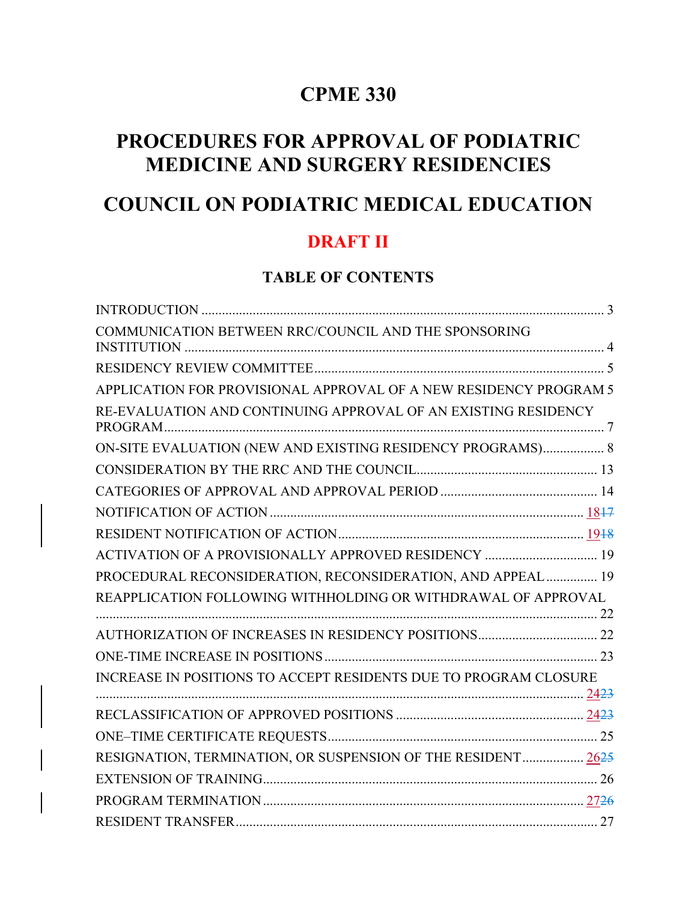# **CPME 330**

# **PROCEDURES FOR APPROVAL OF PODIATRIC MEDICINE AND SURGERY RESIDENCIES**

# **COUNCIL ON PODIATRIC MEDICAL EDUCATION**

# **DRAFT II**

### **TABLE OF CONTENTS**

| COMMUNICATION BETWEEN RRC/COUNCIL AND THE SPONSORING              |
|-------------------------------------------------------------------|
|                                                                   |
| APPLICATION FOR PROVISIONAL APPROVAL OF A NEW RESIDENCY PROGRAM 5 |
| RE-EVALUATION AND CONTINUING APPROVAL OF AN EXISTING RESIDENCY    |
| ON-SITE EVALUATION (NEW AND EXISTING RESIDENCY PROGRAMS) 8        |
|                                                                   |
|                                                                   |
|                                                                   |
|                                                                   |
| ACTIVATION OF A PROVISIONALLY APPROVED RESIDENCY  19              |
| PROCEDURAL RECONSIDERATION, RECONSIDERATION, AND APPEAL  19       |
| REAPPLICATION FOLLOWING WITHHOLDING OR WITHDRAWAL OF APPROVAL     |
|                                                                   |
|                                                                   |
| INCREASE IN POSITIONS TO ACCEPT RESIDENTS DUE TO PROGRAM CLOSURE  |
|                                                                   |
|                                                                   |
| RESIGNATION, TERMINATION, OR SUSPENSION OF THE RESIDENT 2625      |
|                                                                   |
|                                                                   |
|                                                                   |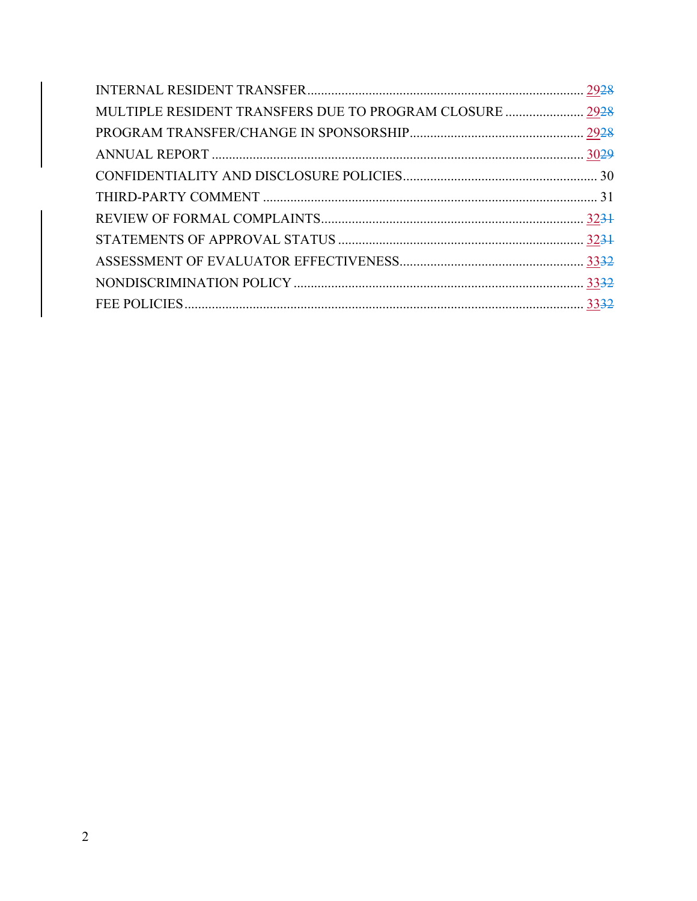| MULTIPLE RESIDENT TRANSFERS DUE TO PROGRAM CLOSURE  2928 |  |
|----------------------------------------------------------|--|
|                                                          |  |
|                                                          |  |
|                                                          |  |
|                                                          |  |
|                                                          |  |
|                                                          |  |
|                                                          |  |
|                                                          |  |
|                                                          |  |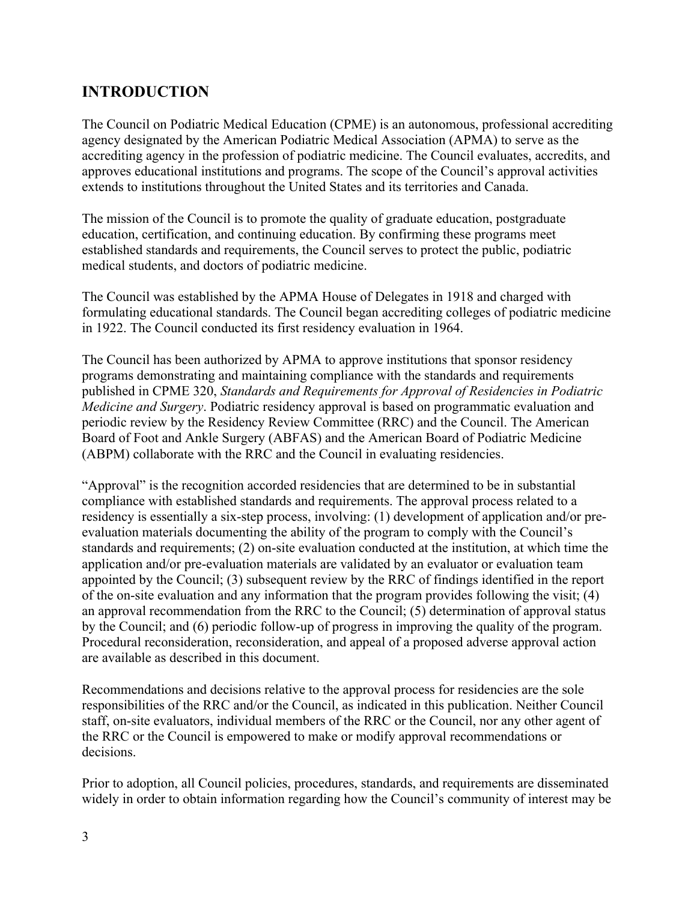### **INTRODUCTION**

The Council on Podiatric Medical Education (CPME) is an autonomous, professional accrediting agency designated by the American Podiatric Medical Association (APMA) to serve as the accrediting agency in the profession of podiatric medicine. The Council evaluates, accredits, and approves educational institutions and programs. The scope of the Council's approval activities extends to institutions throughout the United States and its territories and Canada.

The mission of the Council is to promote the quality of graduate education, postgraduate education, certification, and continuing education. By confirming these programs meet established standards and requirements, the Council serves to protect the public, podiatric medical students, and doctors of podiatric medicine.

The Council was established by the APMA House of Delegates in 1918 and charged with formulating educational standards. The Council began accrediting colleges of podiatric medicine in 1922. The Council conducted its first residency evaluation in 1964.

The Council has been authorized by APMA to approve institutions that sponsor residency programs demonstrating and maintaining compliance with the standards and requirements published in CPME 320, *Standards and Requirements for Approval of Residencies in Podiatric Medicine and Surgery*. Podiatric residency approval is based on programmatic evaluation and periodic review by the Residency Review Committee (RRC) and the Council. The American Board of Foot and Ankle Surgery (ABFAS) and the American Board of Podiatric Medicine (ABPM) collaborate with the RRC and the Council in evaluating residencies.

"Approval" is the recognition accorded residencies that are determined to be in substantial compliance with established standards and requirements. The approval process related to a residency is essentially a six-step process, involving: (1) development of application and/or preevaluation materials documenting the ability of the program to comply with the Council's standards and requirements; (2) on-site evaluation conducted at the institution, at which time the application and/or pre-evaluation materials are validated by an evaluator or evaluation team appointed by the Council; (3) subsequent review by the RRC of findings identified in the report of the on-site evaluation and any information that the program provides following the visit; (4) an approval recommendation from the RRC to the Council; (5) determination of approval status by the Council; and (6) periodic follow-up of progress in improving the quality of the program. Procedural reconsideration, reconsideration, and appeal of a proposed adverse approval action are available as described in this document.

Recommendations and decisions relative to the approval process for residencies are the sole responsibilities of the RRC and/or the Council, as indicated in this publication. Neither Council staff, on-site evaluators, individual members of the RRC or the Council, nor any other agent of the RRC or the Council is empowered to make or modify approval recommendations or decisions.

Prior to adoption, all Council policies, procedures, standards, and requirements are disseminated widely in order to obtain information regarding how the Council's community of interest may be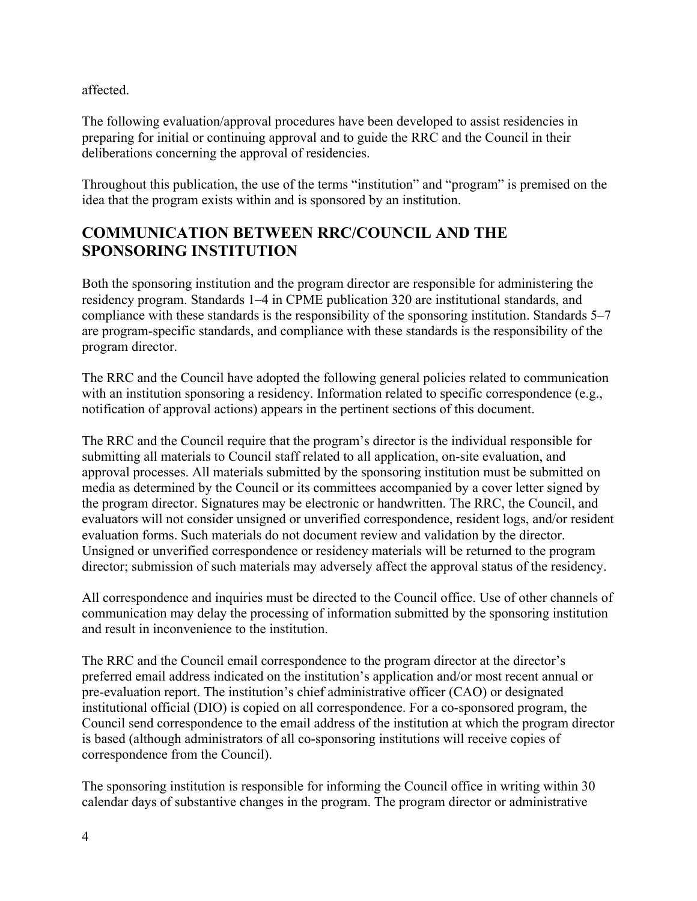affected.

The following evaluation/approval procedures have been developed to assist residencies in preparing for initial or continuing approval and to guide the RRC and the Council in their deliberations concerning the approval of residencies.

Throughout this publication, the use of the terms "institution" and "program" is premised on the idea that the program exists within and is sponsored by an institution.

### **COMMUNICATION BETWEEN RRC/COUNCIL AND THE SPONSORING INSTITUTION**

Both the sponsoring institution and the program director are responsible for administering the residency program. Standards 1–4 in CPME publication 320 are institutional standards, and compliance with these standards is the responsibility of the sponsoring institution. Standards 5–7 are program-specific standards, and compliance with these standards is the responsibility of the program director.

The RRC and the Council have adopted the following general policies related to communication with an institution sponsoring a residency. Information related to specific correspondence (e.g., notification of approval actions) appears in the pertinent sections of this document.

The RRC and the Council require that the program's director is the individual responsible for submitting all materials to Council staff related to all application, on-site evaluation, and approval processes. All materials submitted by the sponsoring institution must be submitted on media as determined by the Council or its committees accompanied by a cover letter signed by the program director. Signatures may be electronic or handwritten. The RRC, the Council, and evaluators will not consider unsigned or unverified correspondence, resident logs, and/or resident evaluation forms. Such materials do not document review and validation by the director. Unsigned or unverified correspondence or residency materials will be returned to the program director; submission of such materials may adversely affect the approval status of the residency.

All correspondence and inquiries must be directed to the Council office. Use of other channels of communication may delay the processing of information submitted by the sponsoring institution and result in inconvenience to the institution.

The RRC and the Council email correspondence to the program director at the director's preferred email address indicated on the institution's application and/or most recent annual or pre-evaluation report. The institution's chief administrative officer (CAO) or designated institutional official (DIO) is copied on all correspondence. For a co-sponsored program, the Council send correspondence to the email address of the institution at which the program director is based (although administrators of all co-sponsoring institutions will receive copies of correspondence from the Council).

The sponsoring institution is responsible for informing the Council office in writing within 30 calendar days of substantive changes in the program. The program director or administrative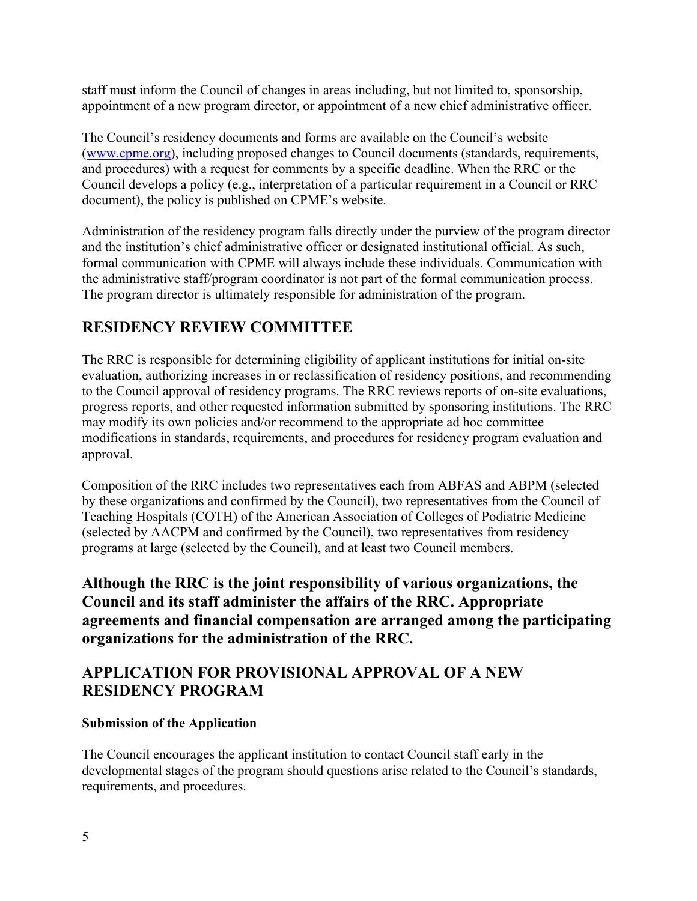staff must inform the Council of changes in areas including, but not limited to, sponsorship, appointment of a new program director, or appointment of a new chief administrative officer.

The Council's residency documents and forms are available on the Council's website (www.cpme.org), including proposed changes to Council documents (standards, requirements, and procedures) with a request for comments by a specific deadline. When the RRC or the Council develops a policy (e.g., interpretation of a particular requirement in a Council or RRC document), the policy is published on CPME's website.

Administration of the residency program falls directly under the purview of the program director and the institution's chief administrative officer or designated institutional official. As such, formal communication with CPME will always include these individuals. Communication with the administrative staff/program coordinator is not part of the formal communication process. The program director is ultimately responsible for administration of the program.

### **RESIDENCY REVIEW COMMITTEE**

The RRC is responsible for determining eligibility of applicant institutions for initial on-site evaluation, authorizing increases in or reclassification of residency positions, and recommending to the Council approval of residency programs. The RRC reviews reports of on-site evaluations, progress reports, and other requested information submitted by sponsoring institutions. The RRC may modify its own policies and/or recommend to the appropriate ad hoc committee modifications in standards, requirements, and procedures for residency program evaluation and approval.

Composition of the RRC includes two representatives each from ABFAS and ABPM (selected by these organizations and confirmed by the Council), two representatives from the Council of Teaching Hospitals (COTH) of the American Association of Colleges of Podiatric Medicine (selected by AACPM and confirmed by the Council), two representatives from residency programs at large (selected by the Council), and at least two Council members.

**Although the RRC is the joint responsibility of various organizations, the Council and its staff administer the affairs of the RRC. Appropriate agreements and financial compensation are arranged among the participating organizations for the administration of the RRC.** 

### **APPLICATION FOR PROVISIONAL APPROVAL OF A NEW RESIDENCY PROGRAM**

#### **Submission of the Application**

The Council encourages the applicant institution to contact Council staff early in the developmental stages of the program should questions arise related to the Council's standards, requirements, and procedures.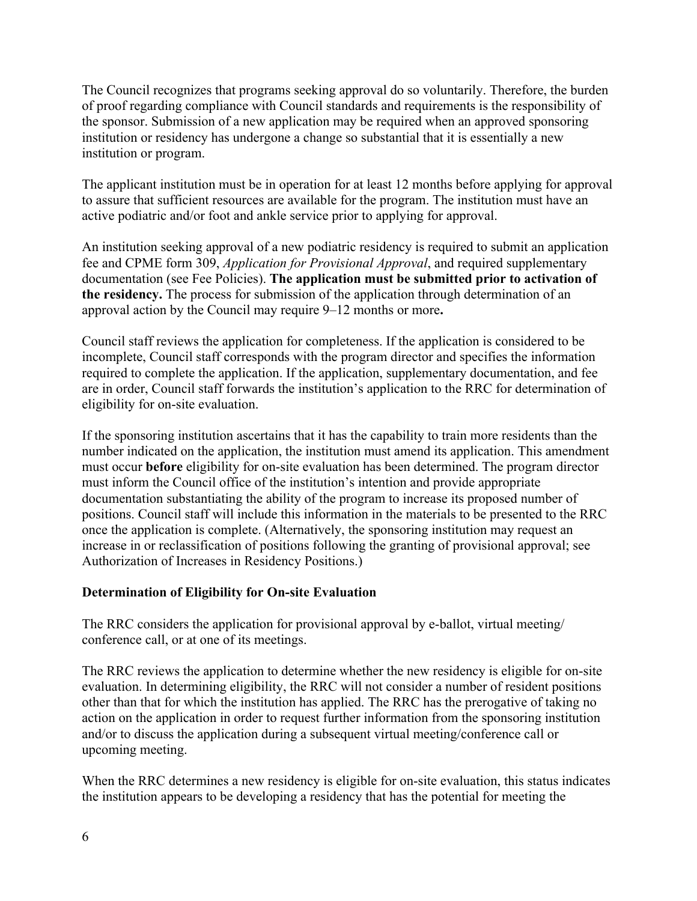The Council recognizes that programs seeking approval do so voluntarily. Therefore, the burden of proof regarding compliance with Council standards and requirements is the responsibility of the sponsor. Submission of a new application may be required when an approved sponsoring institution or residency has undergone a change so substantial that it is essentially a new institution or program.

The applicant institution must be in operation for at least 12 months before applying for approval to assure that sufficient resources are available for the program. The institution must have an active podiatric and/or foot and ankle service prior to applying for approval.

An institution seeking approval of a new podiatric residency is required to submit an application fee and CPME form 309, *Application for Provisional Approval*, and required supplementary documentation (see Fee Policies). **The application must be submitted prior to activation of the residency.** The process for submission of the application through determination of an approval action by the Council may require 9–12 months or more**.** 

Council staff reviews the application for completeness. If the application is considered to be incomplete, Council staff corresponds with the program director and specifies the information required to complete the application. If the application, supplementary documentation, and fee are in order, Council staff forwards the institution's application to the RRC for determination of eligibility for on-site evaluation.

If the sponsoring institution ascertains that it has the capability to train more residents than the number indicated on the application, the institution must amend its application. This amendment must occur **before** eligibility for on-site evaluation has been determined. The program director must inform the Council office of the institution's intention and provide appropriate documentation substantiating the ability of the program to increase its proposed number of positions. Council staff will include this information in the materials to be presented to the RRC once the application is complete. (Alternatively, the sponsoring institution may request an increase in or reclassification of positions following the granting of provisional approval; see Authorization of Increases in Residency Positions.)

#### **Determination of Eligibility for On-site Evaluation**

The RRC considers the application for provisional approval by e-ballot, virtual meeting/ conference call, or at one of its meetings.

The RRC reviews the application to determine whether the new residency is eligible for on-site evaluation. In determining eligibility, the RRC will not consider a number of resident positions other than that for which the institution has applied. The RRC has the prerogative of taking no action on the application in order to request further information from the sponsoring institution and/or to discuss the application during a subsequent virtual meeting/conference call or upcoming meeting.

When the RRC determines a new residency is eligible for on-site evaluation, this status indicates the institution appears to be developing a residency that has the potential for meeting the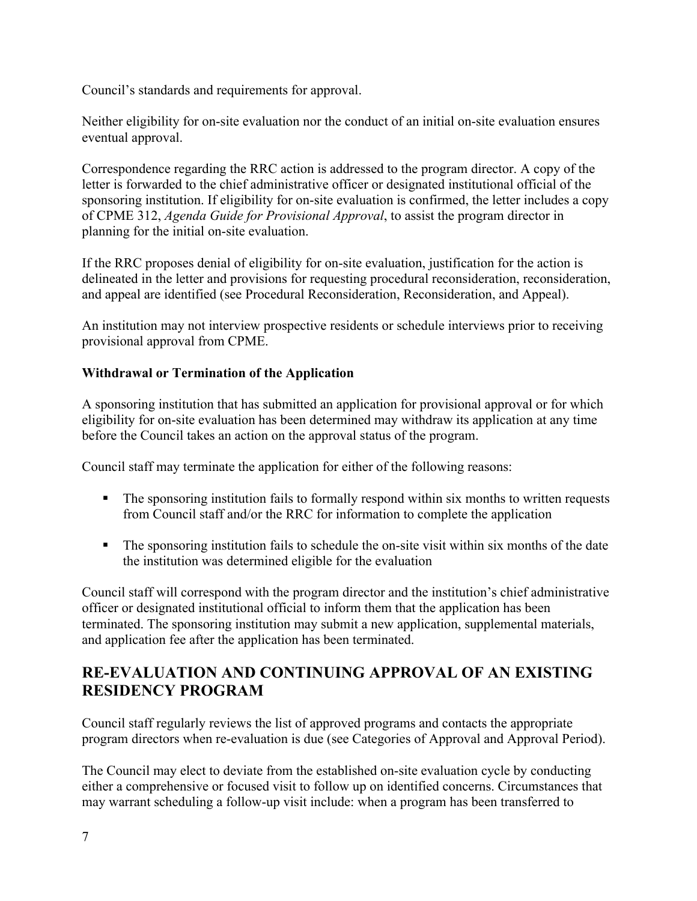Council's standards and requirements for approval.

Neither eligibility for on-site evaluation nor the conduct of an initial on-site evaluation ensures eventual approval.

Correspondence regarding the RRC action is addressed to the program director. A copy of the letter is forwarded to the chief administrative officer or designated institutional official of the sponsoring institution. If eligibility for on-site evaluation is confirmed, the letter includes a copy of CPME 312, *Agenda Guide for Provisional Approval*, to assist the program director in planning for the initial on-site evaluation.

If the RRC proposes denial of eligibility for on-site evaluation, justification for the action is delineated in the letter and provisions for requesting procedural reconsideration, reconsideration, and appeal are identified (see Procedural Reconsideration, Reconsideration, and Appeal).

An institution may not interview prospective residents or schedule interviews prior to receiving provisional approval from CPME.

#### **Withdrawal or Termination of the Application**

A sponsoring institution that has submitted an application for provisional approval or for which eligibility for on-site evaluation has been determined may withdraw its application at any time before the Council takes an action on the approval status of the program.

Council staff may terminate the application for either of the following reasons:

- The sponsoring institution fails to formally respond within six months to written requests from Council staff and/or the RRC for information to complete the application
- The sponsoring institution fails to schedule the on-site visit within six months of the date the institution was determined eligible for the evaluation

Council staff will correspond with the program director and the institution's chief administrative officer or designated institutional official to inform them that the application has been terminated. The sponsoring institution may submit a new application, supplemental materials, and application fee after the application has been terminated.

### **RE-EVALUATION AND CONTINUING APPROVAL OF AN EXISTING RESIDENCY PROGRAM**

Council staff regularly reviews the list of approved programs and contacts the appropriate program directors when re-evaluation is due (see Categories of Approval and Approval Period).

The Council may elect to deviate from the established on-site evaluation cycle by conducting either a comprehensive or focused visit to follow up on identified concerns. Circumstances that may warrant scheduling a follow-up visit include: when a program has been transferred to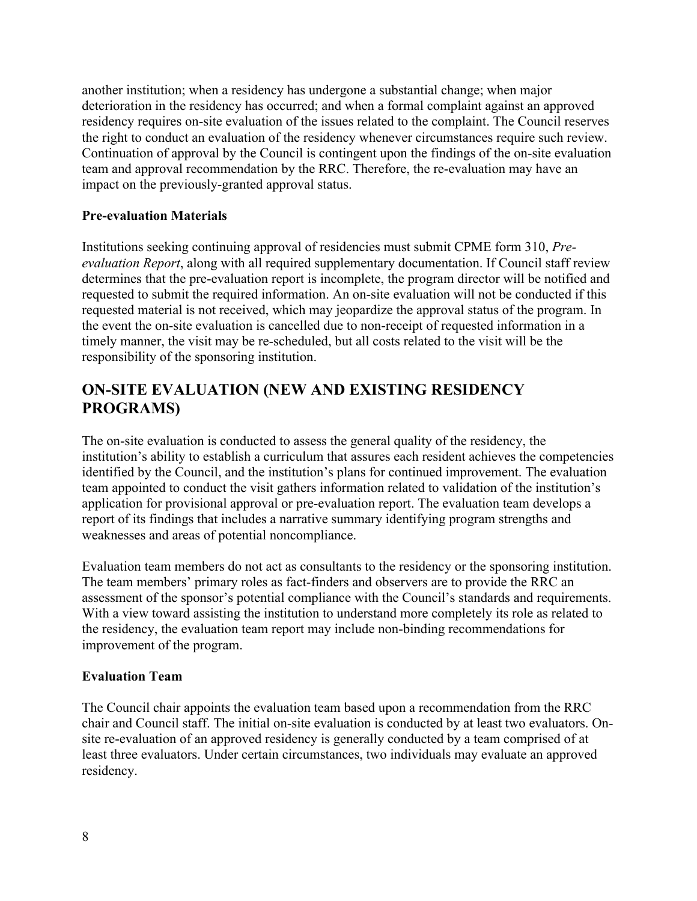another institution; when a residency has undergone a substantial change; when major deterioration in the residency has occurred; and when a formal complaint against an approved residency requires on-site evaluation of the issues related to the complaint. The Council reserves the right to conduct an evaluation of the residency whenever circumstances require such review. Continuation of approval by the Council is contingent upon the findings of the on-site evaluation team and approval recommendation by the RRC. Therefore, the re-evaluation may have an impact on the previously-granted approval status.

#### **Pre-evaluation Materials**

Institutions seeking continuing approval of residencies must submit CPME form 310, *Preevaluation Report*, along with all required supplementary documentation. If Council staff review determines that the pre-evaluation report is incomplete, the program director will be notified and requested to submit the required information. An on-site evaluation will not be conducted if this requested material is not received, which may jeopardize the approval status of the program. In the event the on-site evaluation is cancelled due to non-receipt of requested information in a timely manner, the visit may be re-scheduled, but all costs related to the visit will be the responsibility of the sponsoring institution.

### **ON-SITE EVALUATION (NEW AND EXISTING RESIDENCY PROGRAMS)**

The on-site evaluation is conducted to assess the general quality of the residency, the institution's ability to establish a curriculum that assures each resident achieves the competencies identified by the Council, and the institution's plans for continued improvement. The evaluation team appointed to conduct the visit gathers information related to validation of the institution's application for provisional approval or pre-evaluation report. The evaluation team develops a report of its findings that includes a narrative summary identifying program strengths and weaknesses and areas of potential noncompliance.

Evaluation team members do not act as consultants to the residency or the sponsoring institution. The team members' primary roles as fact-finders and observers are to provide the RRC an assessment of the sponsor's potential compliance with the Council's standards and requirements. With a view toward assisting the institution to understand more completely its role as related to the residency, the evaluation team report may include non-binding recommendations for improvement of the program.

#### **Evaluation Team**

The Council chair appoints the evaluation team based upon a recommendation from the RRC chair and Council staff. The initial on-site evaluation is conducted by at least two evaluators. Onsite re-evaluation of an approved residency is generally conducted by a team comprised of at least three evaluators. Under certain circumstances, two individuals may evaluate an approved residency.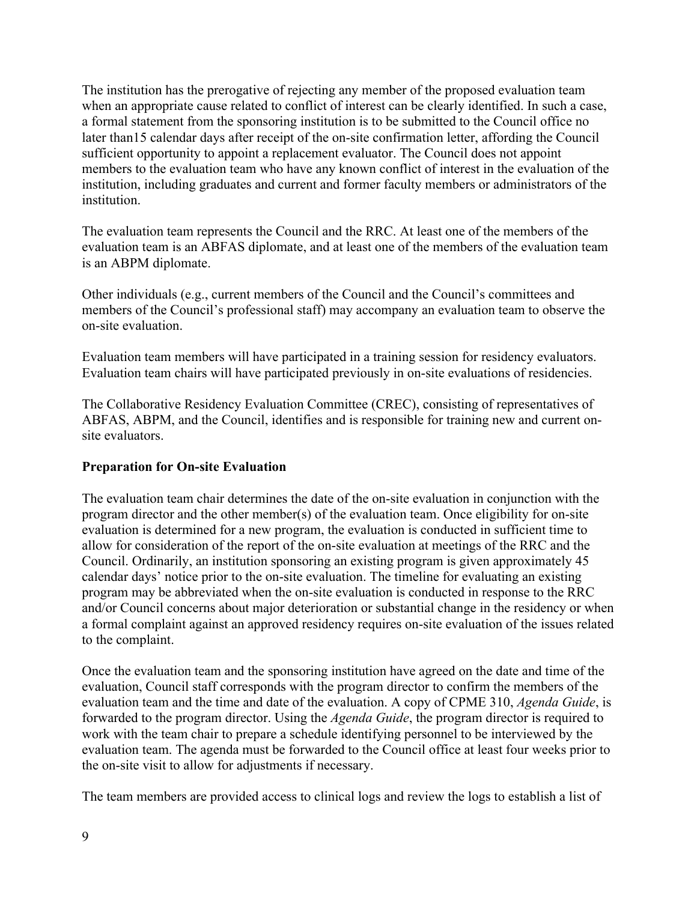The institution has the prerogative of rejecting any member of the proposed evaluation team when an appropriate cause related to conflict of interest can be clearly identified. In such a case, a formal statement from the sponsoring institution is to be submitted to the Council office no later than15 calendar days after receipt of the on-site confirmation letter, affording the Council sufficient opportunity to appoint a replacement evaluator. The Council does not appoint members to the evaluation team who have any known conflict of interest in the evaluation of the institution, including graduates and current and former faculty members or administrators of the institution.

The evaluation team represents the Council and the RRC. At least one of the members of the evaluation team is an ABFAS diplomate, and at least one of the members of the evaluation team is an ABPM diplomate.

Other individuals (e.g., current members of the Council and the Council's committees and members of the Council's professional staff) may accompany an evaluation team to observe the on-site evaluation.

Evaluation team members will have participated in a training session for residency evaluators. Evaluation team chairs will have participated previously in on-site evaluations of residencies.

The Collaborative Residency Evaluation Committee (CREC), consisting of representatives of ABFAS, ABPM, and the Council, identifies and is responsible for training new and current onsite evaluators.

#### **Preparation for On-site Evaluation**

The evaluation team chair determines the date of the on-site evaluation in conjunction with the program director and the other member(s) of the evaluation team. Once eligibility for on-site evaluation is determined for a new program, the evaluation is conducted in sufficient time to allow for consideration of the report of the on-site evaluation at meetings of the RRC and the Council. Ordinarily, an institution sponsoring an existing program is given approximately 45 calendar days' notice prior to the on-site evaluation. The timeline for evaluating an existing program may be abbreviated when the on-site evaluation is conducted in response to the RRC and/or Council concerns about major deterioration or substantial change in the residency or when a formal complaint against an approved residency requires on-site evaluation of the issues related to the complaint.

Once the evaluation team and the sponsoring institution have agreed on the date and time of the evaluation, Council staff corresponds with the program director to confirm the members of the evaluation team and the time and date of the evaluation. A copy of CPME 310, *Agenda Guide*, is forwarded to the program director. Using the *Agenda Guide*, the program director is required to work with the team chair to prepare a schedule identifying personnel to be interviewed by the evaluation team. The agenda must be forwarded to the Council office at least four weeks prior to the on-site visit to allow for adjustments if necessary.

The team members are provided access to clinical logs and review the logs to establish a list of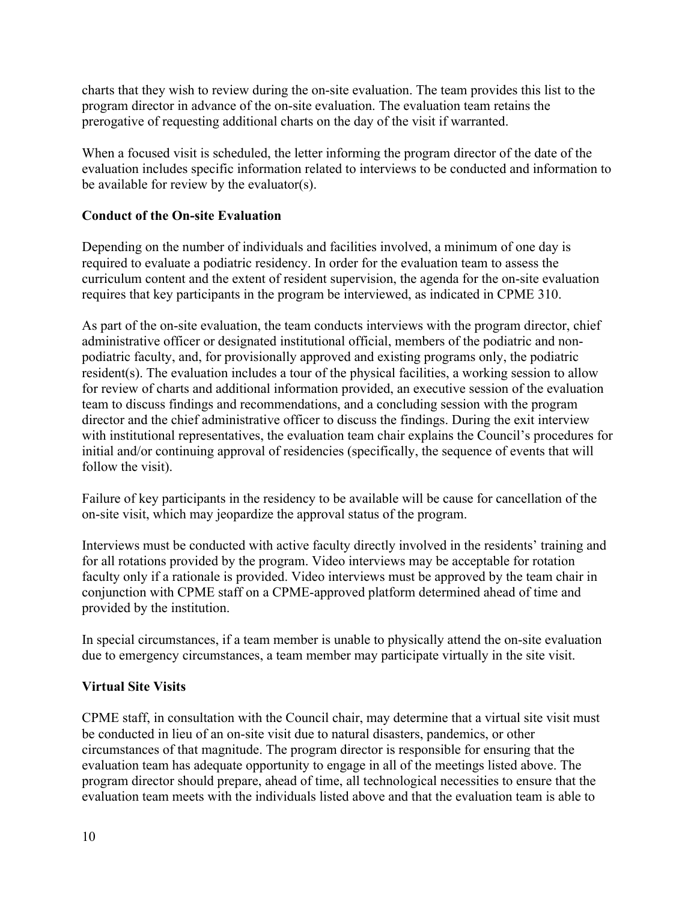charts that they wish to review during the on-site evaluation. The team provides this list to the program director in advance of the on-site evaluation. The evaluation team retains the prerogative of requesting additional charts on the day of the visit if warranted.

When a focused visit is scheduled, the letter informing the program director of the date of the evaluation includes specific information related to interviews to be conducted and information to be available for review by the evaluator(s).

#### **Conduct of the On-site Evaluation**

Depending on the number of individuals and facilities involved, a minimum of one day is required to evaluate a podiatric residency. In order for the evaluation team to assess the curriculum content and the extent of resident supervision, the agenda for the on-site evaluation requires that key participants in the program be interviewed, as indicated in CPME 310.

As part of the on-site evaluation, the team conducts interviews with the program director, chief administrative officer or designated institutional official, members of the podiatric and nonpodiatric faculty, and, for provisionally approved and existing programs only, the podiatric resident(s). The evaluation includes a tour of the physical facilities, a working session to allow for review of charts and additional information provided, an executive session of the evaluation team to discuss findings and recommendations, and a concluding session with the program director and the chief administrative officer to discuss the findings. During the exit interview with institutional representatives, the evaluation team chair explains the Council's procedures for initial and/or continuing approval of residencies (specifically, the sequence of events that will follow the visit).

Failure of key participants in the residency to be available will be cause for cancellation of the on-site visit, which may jeopardize the approval status of the program.

Interviews must be conducted with active faculty directly involved in the residents' training and for all rotations provided by the program. Video interviews may be acceptable for rotation faculty only if a rationale is provided. Video interviews must be approved by the team chair in conjunction with CPME staff on a CPME-approved platform determined ahead of time and provided by the institution.

In special circumstances, if a team member is unable to physically attend the on-site evaluation due to emergency circumstances, a team member may participate virtually in the site visit.

#### **Virtual Site Visits**

CPME staff, in consultation with the Council chair, may determine that a virtual site visit must be conducted in lieu of an on-site visit due to natural disasters, pandemics, or other circumstances of that magnitude. The program director is responsible for ensuring that the evaluation team has adequate opportunity to engage in all of the meetings listed above. The program director should prepare, ahead of time, all technological necessities to ensure that the evaluation team meets with the individuals listed above and that the evaluation team is able to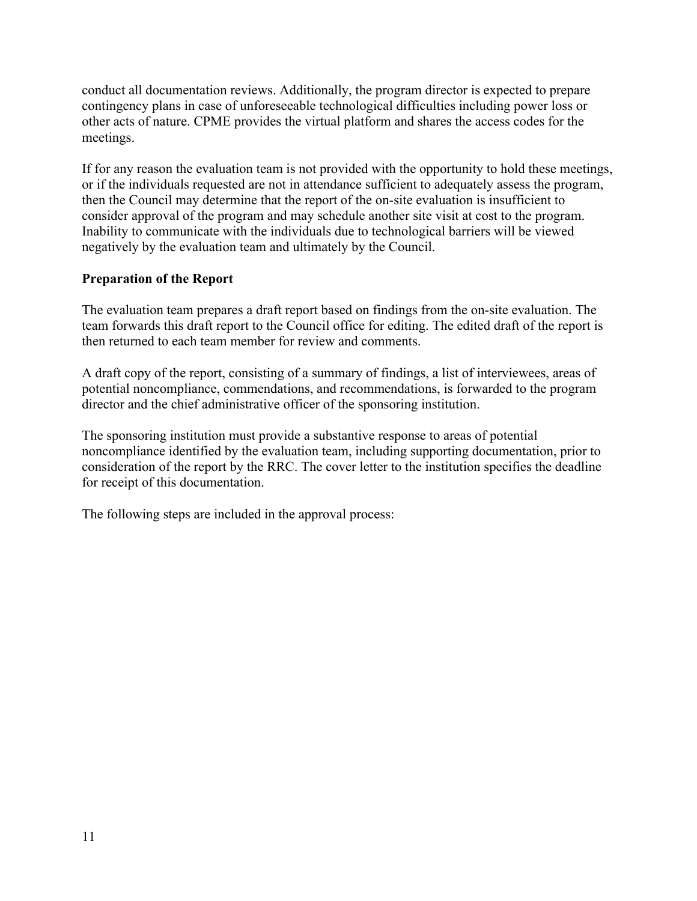conduct all documentation reviews. Additionally, the program director is expected to prepare contingency plans in case of unforeseeable technological difficulties including power loss or other acts of nature. CPME provides the virtual platform and shares the access codes for the meetings.

If for any reason the evaluation team is not provided with the opportunity to hold these meetings, or if the individuals requested are not in attendance sufficient to adequately assess the program, then the Council may determine that the report of the on-site evaluation is insufficient to consider approval of the program and may schedule another site visit at cost to the program. Inability to communicate with the individuals due to technological barriers will be viewed negatively by the evaluation team and ultimately by the Council.

#### **Preparation of the Report**

The evaluation team prepares a draft report based on findings from the on-site evaluation. The team forwards this draft report to the Council office for editing. The edited draft of the report is then returned to each team member for review and comments.

A draft copy of the report, consisting of a summary of findings, a list of interviewees, areas of potential noncompliance, commendations, and recommendations, is forwarded to the program director and the chief administrative officer of the sponsoring institution.

The sponsoring institution must provide a substantive response to areas of potential noncompliance identified by the evaluation team, including supporting documentation, prior to consideration of the report by the RRC. The cover letter to the institution specifies the deadline for receipt of this documentation.

The following steps are included in the approval process: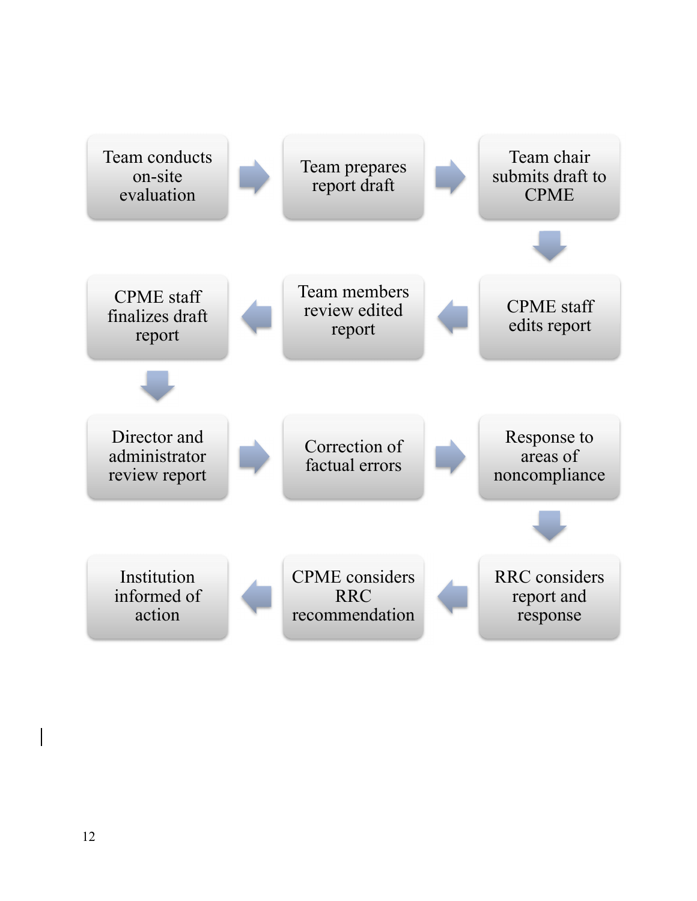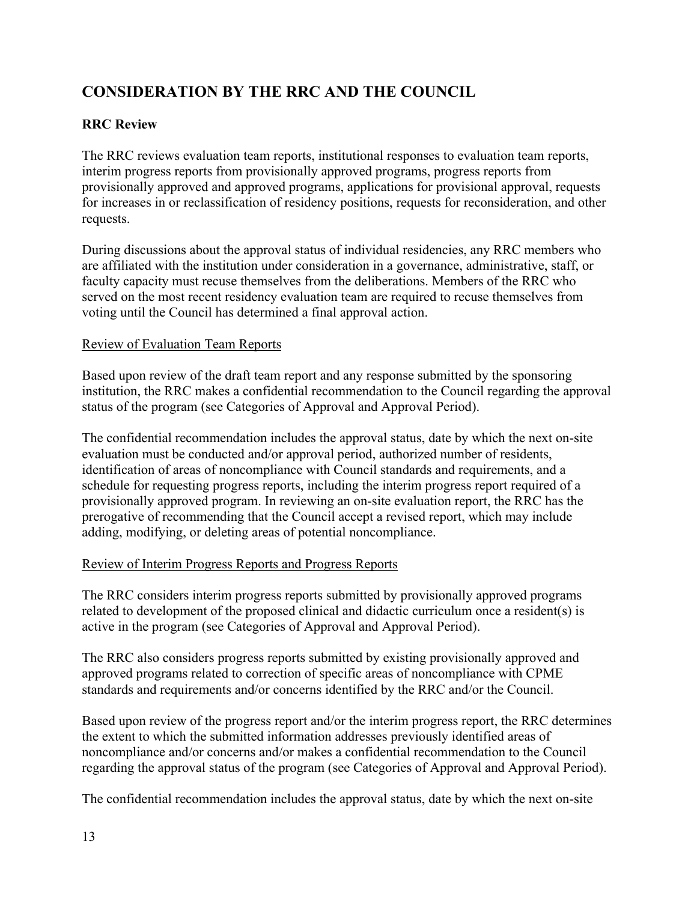# **CONSIDERATION BY THE RRC AND THE COUNCIL**

#### **RRC Review**

The RRC reviews evaluation team reports, institutional responses to evaluation team reports, interim progress reports from provisionally approved programs, progress reports from provisionally approved and approved programs, applications for provisional approval, requests for increases in or reclassification of residency positions, requests for reconsideration, and other requests.

During discussions about the approval status of individual residencies, any RRC members who are affiliated with the institution under consideration in a governance, administrative, staff, or faculty capacity must recuse themselves from the deliberations. Members of the RRC who served on the most recent residency evaluation team are required to recuse themselves from voting until the Council has determined a final approval action.

#### Review of Evaluation Team Reports

Based upon review of the draft team report and any response submitted by the sponsoring institution, the RRC makes a confidential recommendation to the Council regarding the approval status of the program (see Categories of Approval and Approval Period).

The confidential recommendation includes the approval status, date by which the next on-site evaluation must be conducted and/or approval period, authorized number of residents, identification of areas of noncompliance with Council standards and requirements, and a schedule for requesting progress reports, including the interim progress report required of a provisionally approved program. In reviewing an on-site evaluation report, the RRC has the prerogative of recommending that the Council accept a revised report, which may include adding, modifying, or deleting areas of potential noncompliance.

#### Review of Interim Progress Reports and Progress Reports

The RRC considers interim progress reports submitted by provisionally approved programs related to development of the proposed clinical and didactic curriculum once a resident(s) is active in the program (see Categories of Approval and Approval Period).

The RRC also considers progress reports submitted by existing provisionally approved and approved programs related to correction of specific areas of noncompliance with CPME standards and requirements and/or concerns identified by the RRC and/or the Council.

Based upon review of the progress report and/or the interim progress report, the RRC determines the extent to which the submitted information addresses previously identified areas of noncompliance and/or concerns and/or makes a confidential recommendation to the Council regarding the approval status of the program (see Categories of Approval and Approval Period).

The confidential recommendation includes the approval status, date by which the next on-site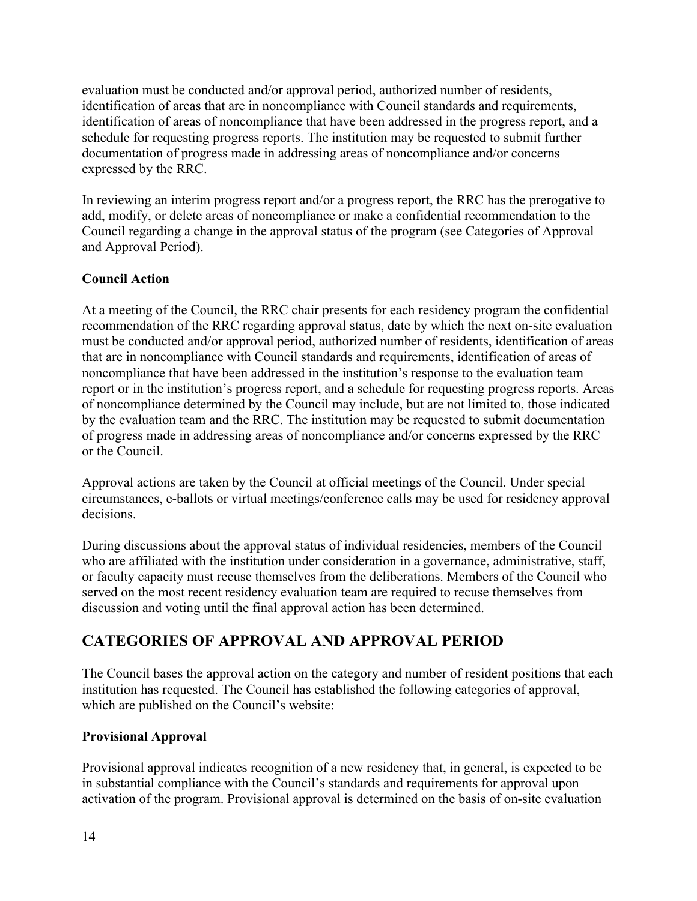evaluation must be conducted and/or approval period, authorized number of residents, identification of areas that are in noncompliance with Council standards and requirements, identification of areas of noncompliance that have been addressed in the progress report, and a schedule for requesting progress reports. The institution may be requested to submit further documentation of progress made in addressing areas of noncompliance and/or concerns expressed by the RRC.

In reviewing an interim progress report and/or a progress report, the RRC has the prerogative to add, modify, or delete areas of noncompliance or make a confidential recommendation to the Council regarding a change in the approval status of the program (see Categories of Approval and Approval Period).

#### **Council Action**

At a meeting of the Council, the RRC chair presents for each residency program the confidential recommendation of the RRC regarding approval status, date by which the next on-site evaluation must be conducted and/or approval period, authorized number of residents, identification of areas that are in noncompliance with Council standards and requirements, identification of areas of noncompliance that have been addressed in the institution's response to the evaluation team report or in the institution's progress report, and a schedule for requesting progress reports. Areas of noncompliance determined by the Council may include, but are not limited to, those indicated by the evaluation team and the RRC. The institution may be requested to submit documentation of progress made in addressing areas of noncompliance and/or concerns expressed by the RRC or the Council.

Approval actions are taken by the Council at official meetings of the Council. Under special circumstances, e-ballots or virtual meetings/conference calls may be used for residency approval decisions.

During discussions about the approval status of individual residencies, members of the Council who are affiliated with the institution under consideration in a governance, administrative, staff, or faculty capacity must recuse themselves from the deliberations. Members of the Council who served on the most recent residency evaluation team are required to recuse themselves from discussion and voting until the final approval action has been determined.

### **CATEGORIES OF APPROVAL AND APPROVAL PERIOD**

The Council bases the approval action on the category and number of resident positions that each institution has requested. The Council has established the following categories of approval, which are published on the Council's website:

#### **Provisional Approval**

Provisional approval indicates recognition of a new residency that, in general, is expected to be in substantial compliance with the Council's standards and requirements for approval upon activation of the program. Provisional approval is determined on the basis of on-site evaluation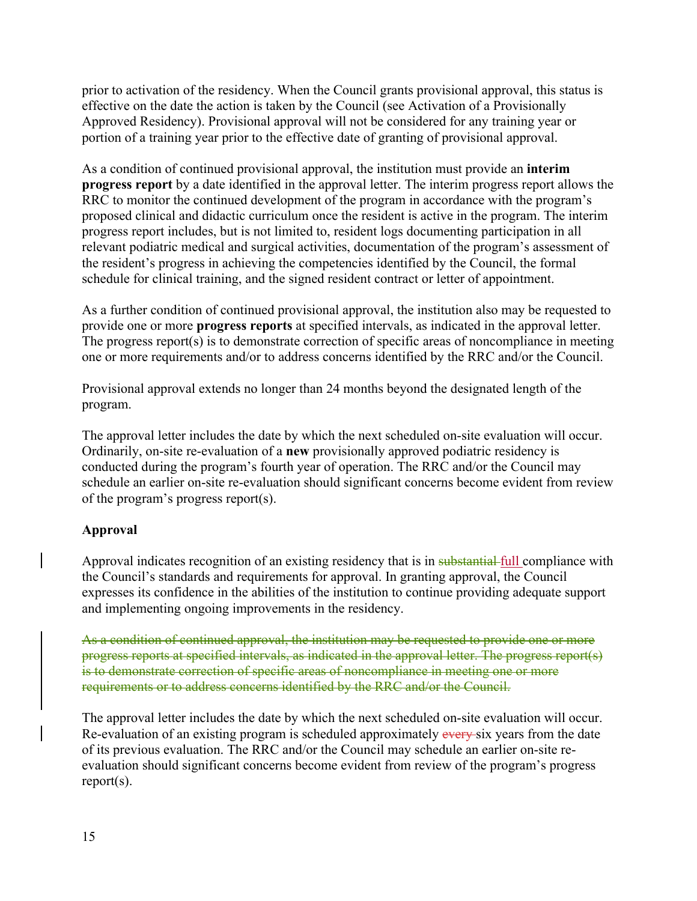prior to activation of the residency. When the Council grants provisional approval, this status is effective on the date the action is taken by the Council (see Activation of a Provisionally Approved Residency). Provisional approval will not be considered for any training year or portion of a training year prior to the effective date of granting of provisional approval.

As a condition of continued provisional approval, the institution must provide an **interim progress report** by a date identified in the approval letter. The interim progress report allows the RRC to monitor the continued development of the program in accordance with the program's proposed clinical and didactic curriculum once the resident is active in the program. The interim progress report includes, but is not limited to, resident logs documenting participation in all relevant podiatric medical and surgical activities, documentation of the program's assessment of the resident's progress in achieving the competencies identified by the Council, the formal schedule for clinical training, and the signed resident contract or letter of appointment.

As a further condition of continued provisional approval, the institution also may be requested to provide one or more **progress reports** at specified intervals, as indicated in the approval letter. The progress report(s) is to demonstrate correction of specific areas of noncompliance in meeting one or more requirements and/or to address concerns identified by the RRC and/or the Council.

Provisional approval extends no longer than 24 months beyond the designated length of the program.

The approval letter includes the date by which the next scheduled on-site evaluation will occur. Ordinarily, on-site re-evaluation of a **new** provisionally approved podiatric residency is conducted during the program's fourth year of operation. The RRC and/or the Council may schedule an earlier on-site re-evaluation should significant concerns become evident from review of the program's progress report(s).

#### **Approval**

Approval indicates recognition of an existing residency that is in substantial full compliance with the Council's standards and requirements for approval. In granting approval, the Council expresses its confidence in the abilities of the institution to continue providing adequate support and implementing ongoing improvements in the residency.

As a condition of continued approval, the institution may be requested to provide one or more progress reports at specified intervals, as indicated in the approval letter. The progress report(s) is to demonstrate correction of specific areas of noncompliance in meeting one or more requirements or to address concerns identified by the RRC and/or the Council.

The approval letter includes the date by which the next scheduled on-site evaluation will occur. Re-evaluation of an existing program is scheduled approximately every six years from the date of its previous evaluation. The RRC and/or the Council may schedule an earlier on-site reevaluation should significant concerns become evident from review of the program's progress report(s).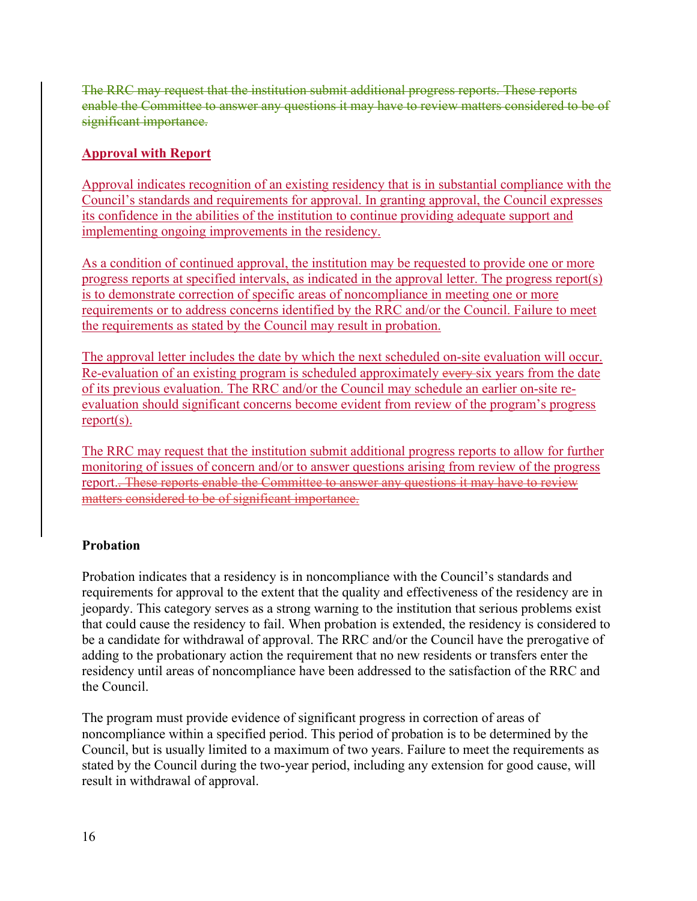The RRC may request that the institution submit additional progress reports. These reports enable the Committee to answer any questions it may have to review matters considered to be of significant importance.

#### **Approval with Report**

Approval indicates recognition of an existing residency that is in substantial compliance with the Council's standards and requirements for approval. In granting approval, the Council expresses its confidence in the abilities of the institution to continue providing adequate support and implementing ongoing improvements in the residency.

As a condition of continued approval, the institution may be requested to provide one or more progress reports at specified intervals, as indicated in the approval letter. The progress report(s) is to demonstrate correction of specific areas of noncompliance in meeting one or more requirements or to address concerns identified by the RRC and/or the Council. Failure to meet the requirements as stated by the Council may result in probation.

The approval letter includes the date by which the next scheduled on-site evaluation will occur. Re-evaluation of an existing program is scheduled approximately every-six years from the date of its previous evaluation. The RRC and/or the Council may schedule an earlier on-site reevaluation should significant concerns become evident from review of the program's progress report(s).

The RRC may request that the institution submit additional progress reports to allow for further monitoring of issues of concern and/or to answer questions arising from review of the progress report.. These reports enable the Committee to answer any questions it may have to review matters considered to be of significant importance.

#### **Probation**

Probation indicates that a residency is in noncompliance with the Council's standards and requirements for approval to the extent that the quality and effectiveness of the residency are in jeopardy. This category serves as a strong warning to the institution that serious problems exist that could cause the residency to fail. When probation is extended, the residency is considered to be a candidate for withdrawal of approval. The RRC and/or the Council have the prerogative of adding to the probationary action the requirement that no new residents or transfers enter the residency until areas of noncompliance have been addressed to the satisfaction of the RRC and the Council.

The program must provide evidence of significant progress in correction of areas of noncompliance within a specified period. This period of probation is to be determined by the Council, but is usually limited to a maximum of two years. Failure to meet the requirements as stated by the Council during the two-year period, including any extension for good cause, will result in withdrawal of approval.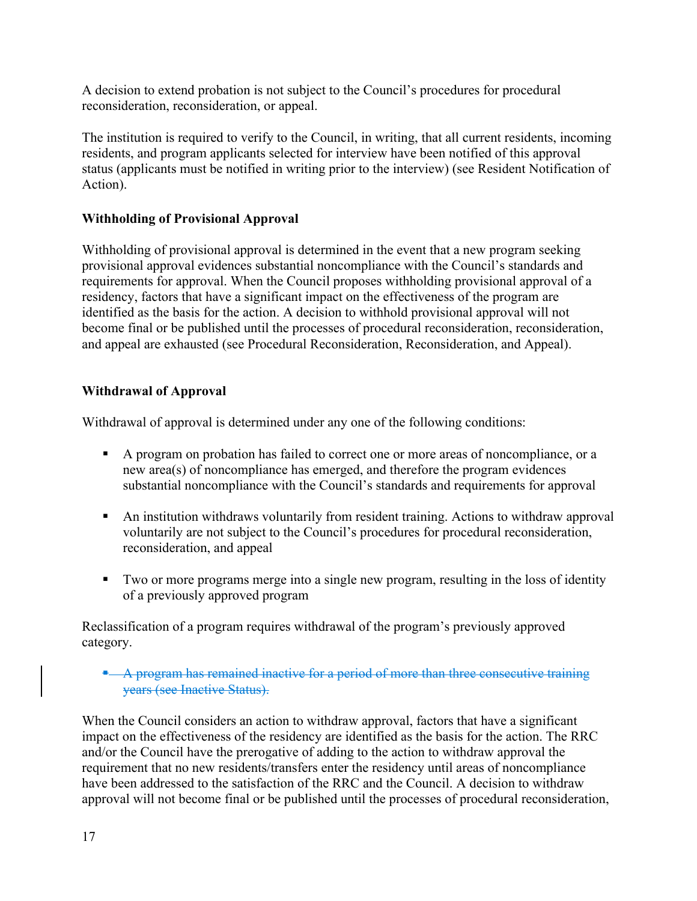A decision to extend probation is not subject to the Council's procedures for procedural reconsideration, reconsideration, or appeal.

The institution is required to verify to the Council, in writing, that all current residents, incoming residents, and program applicants selected for interview have been notified of this approval status (applicants must be notified in writing prior to the interview) (see Resident Notification of Action).

#### **Withholding of Provisional Approval**

Withholding of provisional approval is determined in the event that a new program seeking provisional approval evidences substantial noncompliance with the Council's standards and requirements for approval. When the Council proposes withholding provisional approval of a residency, factors that have a significant impact on the effectiveness of the program are identified as the basis for the action. A decision to withhold provisional approval will not become final or be published until the processes of procedural reconsideration, reconsideration, and appeal are exhausted (see Procedural Reconsideration, Reconsideration, and Appeal).

#### **Withdrawal of Approval**

Withdrawal of approval is determined under any one of the following conditions:

- A program on probation has failed to correct one or more areas of noncompliance, or a new area(s) of noncompliance has emerged, and therefore the program evidences substantial noncompliance with the Council's standards and requirements for approval
- An institution withdraws voluntarily from resident training. Actions to withdraw approval voluntarily are not subject to the Council's procedures for procedural reconsideration, reconsideration, and appeal
- Two or more programs merge into a single new program, resulting in the loss of identity of a previously approved program

Reclassification of a program requires withdrawal of the program's previously approved category.

 A program has remained inactive for a period of more than three consecutive training years (see Inactive Status).

When the Council considers an action to withdraw approval, factors that have a significant impact on the effectiveness of the residency are identified as the basis for the action. The RRC and/or the Council have the prerogative of adding to the action to withdraw approval the requirement that no new residents/transfers enter the residency until areas of noncompliance have been addressed to the satisfaction of the RRC and the Council. A decision to withdraw approval will not become final or be published until the processes of procedural reconsideration,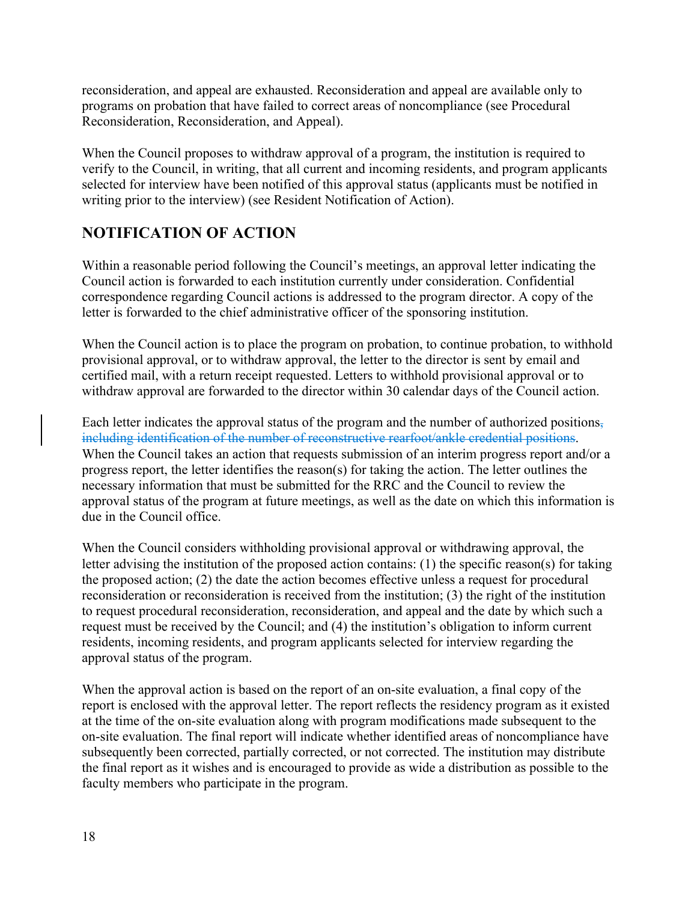reconsideration, and appeal are exhausted. Reconsideration and appeal are available only to programs on probation that have failed to correct areas of noncompliance (see Procedural Reconsideration, Reconsideration, and Appeal).

When the Council proposes to withdraw approval of a program, the institution is required to verify to the Council, in writing, that all current and incoming residents, and program applicants selected for interview have been notified of this approval status (applicants must be notified in writing prior to the interview) (see Resident Notification of Action).

### **NOTIFICATION OF ACTION**

Within a reasonable period following the Council's meetings, an approval letter indicating the Council action is forwarded to each institution currently under consideration. Confidential correspondence regarding Council actions is addressed to the program director. A copy of the letter is forwarded to the chief administrative officer of the sponsoring institution.

When the Council action is to place the program on probation, to continue probation, to withhold provisional approval, or to withdraw approval, the letter to the director is sent by email and certified mail, with a return receipt requested. Letters to withhold provisional approval or to withdraw approval are forwarded to the director within 30 calendar days of the Council action.

Each letter indicates the approval status of the program and the number of authorized positions, including identification of the number of reconstructive rearfoot/ankle credential positions. When the Council takes an action that requests submission of an interim progress report and/or a progress report, the letter identifies the reason(s) for taking the action. The letter outlines the necessary information that must be submitted for the RRC and the Council to review the approval status of the program at future meetings, as well as the date on which this information is due in the Council office.

When the Council considers withholding provisional approval or withdrawing approval, the letter advising the institution of the proposed action contains: (1) the specific reason(s) for taking the proposed action; (2) the date the action becomes effective unless a request for procedural reconsideration or reconsideration is received from the institution; (3) the right of the institution to request procedural reconsideration, reconsideration, and appeal and the date by which such a request must be received by the Council; and (4) the institution's obligation to inform current residents, incoming residents, and program applicants selected for interview regarding the approval status of the program.

When the approval action is based on the report of an on-site evaluation, a final copy of the report is enclosed with the approval letter. The report reflects the residency program as it existed at the time of the on-site evaluation along with program modifications made subsequent to the on-site evaluation. The final report will indicate whether identified areas of noncompliance have subsequently been corrected, partially corrected, or not corrected. The institution may distribute the final report as it wishes and is encouraged to provide as wide a distribution as possible to the faculty members who participate in the program.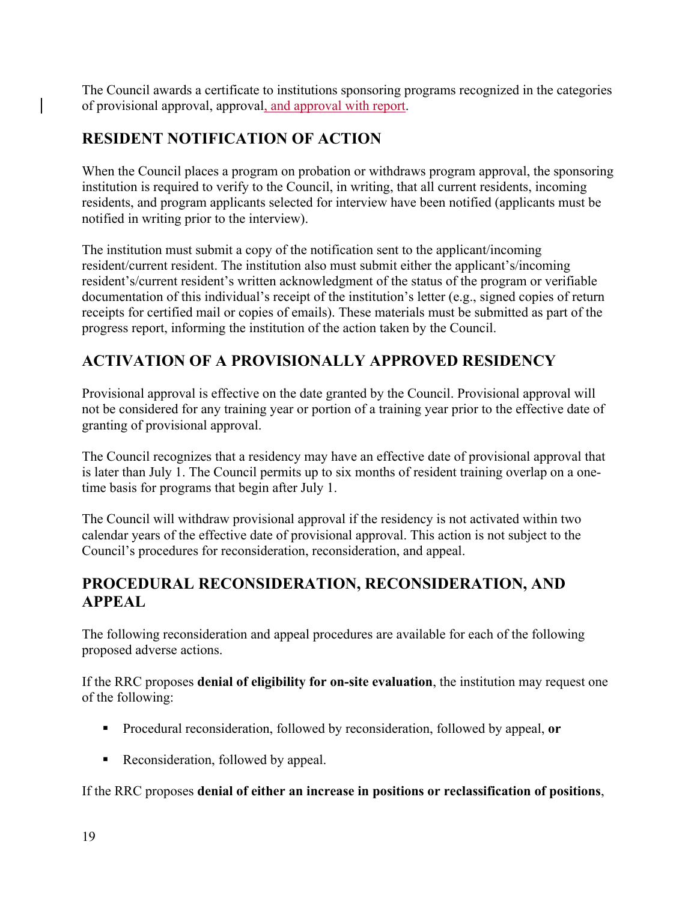The Council awards a certificate to institutions sponsoring programs recognized in the categories of provisional approval, approval, and approval with report.

### **RESIDENT NOTIFICATION OF ACTION**

When the Council places a program on probation or withdraws program approval, the sponsoring institution is required to verify to the Council, in writing, that all current residents, incoming residents, and program applicants selected for interview have been notified (applicants must be notified in writing prior to the interview).

The institution must submit a copy of the notification sent to the applicant/incoming resident/current resident. The institution also must submit either the applicant's/incoming resident's/current resident's written acknowledgment of the status of the program or verifiable documentation of this individual's receipt of the institution's letter (e.g., signed copies of return receipts for certified mail or copies of emails). These materials must be submitted as part of the progress report, informing the institution of the action taken by the Council.

### **ACTIVATION OF A PROVISIONALLY APPROVED RESIDENCY**

Provisional approval is effective on the date granted by the Council. Provisional approval will not be considered for any training year or portion of a training year prior to the effective date of granting of provisional approval.

The Council recognizes that a residency may have an effective date of provisional approval that is later than July 1. The Council permits up to six months of resident training overlap on a onetime basis for programs that begin after July 1.

The Council will withdraw provisional approval if the residency is not activated within two calendar years of the effective date of provisional approval. This action is not subject to the Council's procedures for reconsideration, reconsideration, and appeal.

### **PROCEDURAL RECONSIDERATION, RECONSIDERATION, AND APPEAL**

The following reconsideration and appeal procedures are available for each of the following proposed adverse actions.

If the RRC proposes **denial of eligibility for on-site evaluation**, the institution may request one of the following:

- Procedural reconsideration, followed by reconsideration, followed by appeal, **or**
- Reconsideration, followed by appeal.

If the RRC proposes **denial of either an increase in positions or reclassification of positions**,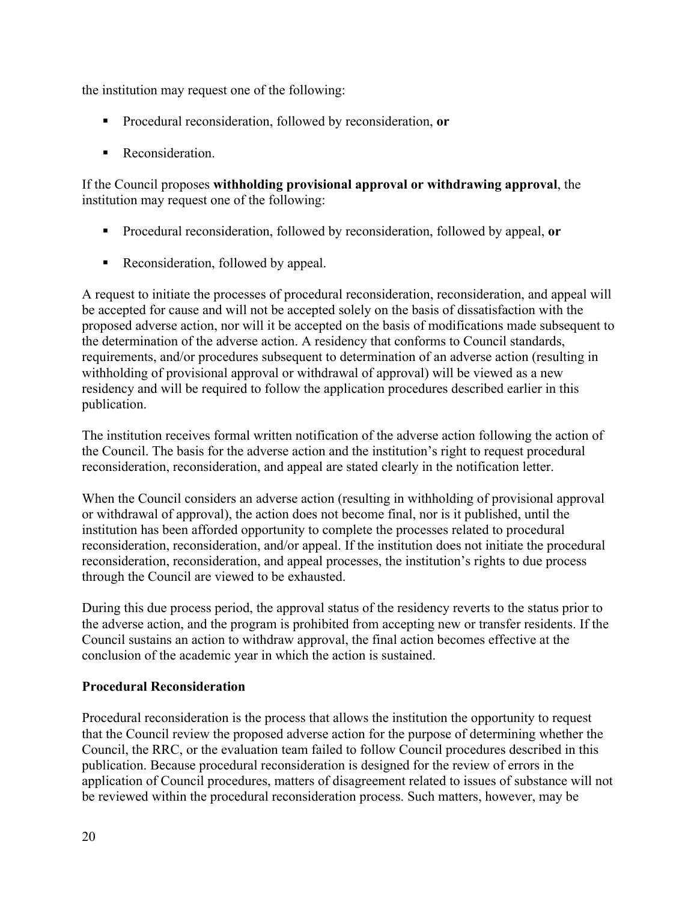the institution may request one of the following:

- Procedural reconsideration, followed by reconsideration, **or**
- **Reconsideration.**

If the Council proposes **withholding provisional approval or withdrawing approval**, the institution may request one of the following:

- Procedural reconsideration, followed by reconsideration, followed by appeal, **or**
- Reconsideration, followed by appeal.

A request to initiate the processes of procedural reconsideration, reconsideration, and appeal will be accepted for cause and will not be accepted solely on the basis of dissatisfaction with the proposed adverse action, nor will it be accepted on the basis of modifications made subsequent to the determination of the adverse action. A residency that conforms to Council standards, requirements, and/or procedures subsequent to determination of an adverse action (resulting in withholding of provisional approval or withdrawal of approval) will be viewed as a new residency and will be required to follow the application procedures described earlier in this publication.

The institution receives formal written notification of the adverse action following the action of the Council. The basis for the adverse action and the institution's right to request procedural reconsideration, reconsideration, and appeal are stated clearly in the notification letter.

When the Council considers an adverse action (resulting in withholding of provisional approval or withdrawal of approval), the action does not become final, nor is it published, until the institution has been afforded opportunity to complete the processes related to procedural reconsideration, reconsideration, and/or appeal. If the institution does not initiate the procedural reconsideration, reconsideration, and appeal processes, the institution's rights to due process through the Council are viewed to be exhausted.

During this due process period, the approval status of the residency reverts to the status prior to the adverse action, and the program is prohibited from accepting new or transfer residents. If the Council sustains an action to withdraw approval, the final action becomes effective at the conclusion of the academic year in which the action is sustained.

#### **Procedural Reconsideration**

Procedural reconsideration is the process that allows the institution the opportunity to request that the Council review the proposed adverse action for the purpose of determining whether the Council, the RRC, or the evaluation team failed to follow Council procedures described in this publication. Because procedural reconsideration is designed for the review of errors in the application of Council procedures, matters of disagreement related to issues of substance will not be reviewed within the procedural reconsideration process. Such matters, however, may be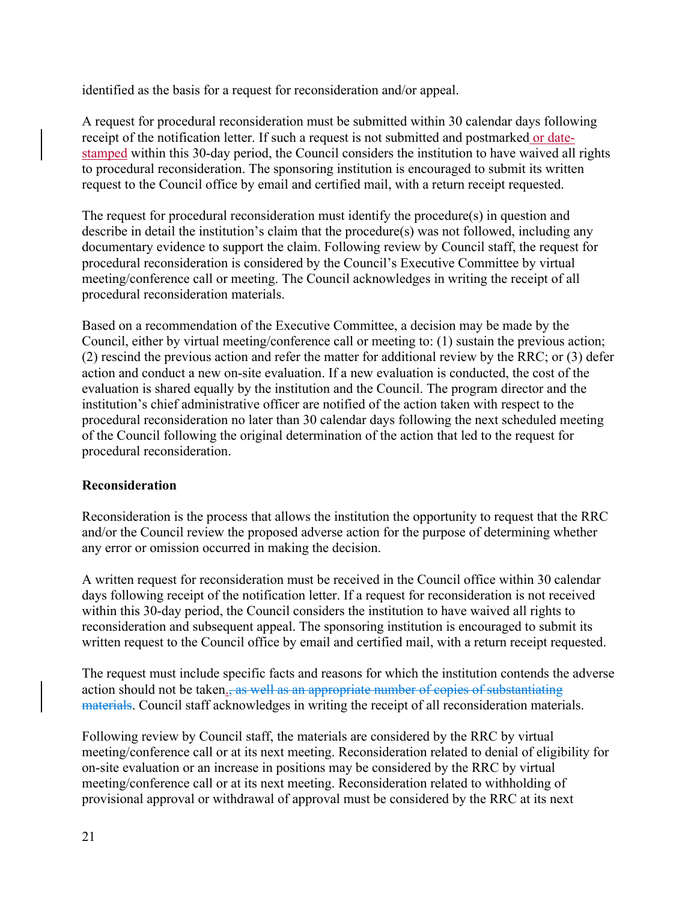identified as the basis for a request for reconsideration and/or appeal.

A request for procedural reconsideration must be submitted within 30 calendar days following receipt of the notification letter. If such a request is not submitted and postmarked or datestamped within this 30-day period, the Council considers the institution to have waived all rights to procedural reconsideration. The sponsoring institution is encouraged to submit its written request to the Council office by email and certified mail, with a return receipt requested.

The request for procedural reconsideration must identify the procedure(s) in question and describe in detail the institution's claim that the procedure(s) was not followed, including any documentary evidence to support the claim. Following review by Council staff, the request for procedural reconsideration is considered by the Council's Executive Committee by virtual meeting/conference call or meeting. The Council acknowledges in writing the receipt of all procedural reconsideration materials.

Based on a recommendation of the Executive Committee, a decision may be made by the Council, either by virtual meeting/conference call or meeting to: (1) sustain the previous action; (2) rescind the previous action and refer the matter for additional review by the RRC; or (3) defer action and conduct a new on-site evaluation. If a new evaluation is conducted, the cost of the evaluation is shared equally by the institution and the Council. The program director and the institution's chief administrative officer are notified of the action taken with respect to the procedural reconsideration no later than 30 calendar days following the next scheduled meeting of the Council following the original determination of the action that led to the request for procedural reconsideration.

#### **Reconsideration**

Reconsideration is the process that allows the institution the opportunity to request that the RRC and/or the Council review the proposed adverse action for the purpose of determining whether any error or omission occurred in making the decision.

A written request for reconsideration must be received in the Council office within 30 calendar days following receipt of the notification letter. If a request for reconsideration is not received within this 30-day period, the Council considers the institution to have waived all rights to reconsideration and subsequent appeal. The sponsoring institution is encouraged to submit its written request to the Council office by email and certified mail, with a return receipt requested.

The request must include specific facts and reasons for which the institution contends the adverse action should not be taken., as well as an appropriate number of copies of substantiating materials. Council staff acknowledges in writing the receipt of all reconsideration materials.

Following review by Council staff, the materials are considered by the RRC by virtual meeting/conference call or at its next meeting. Reconsideration related to denial of eligibility for on-site evaluation or an increase in positions may be considered by the RRC by virtual meeting/conference call or at its next meeting. Reconsideration related to withholding of provisional approval or withdrawal of approval must be considered by the RRC at its next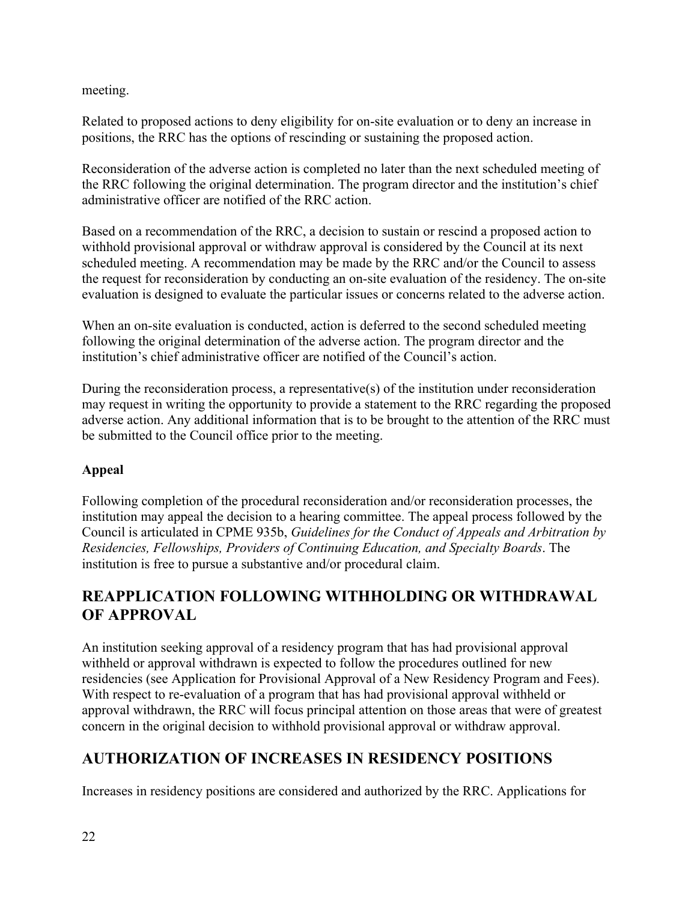meeting.

Related to proposed actions to deny eligibility for on-site evaluation or to deny an increase in positions, the RRC has the options of rescinding or sustaining the proposed action.

Reconsideration of the adverse action is completed no later than the next scheduled meeting of the RRC following the original determination. The program director and the institution's chief administrative officer are notified of the RRC action.

Based on a recommendation of the RRC, a decision to sustain or rescind a proposed action to withhold provisional approval or withdraw approval is considered by the Council at its next scheduled meeting. A recommendation may be made by the RRC and/or the Council to assess the request for reconsideration by conducting an on-site evaluation of the residency. The on-site evaluation is designed to evaluate the particular issues or concerns related to the adverse action.

When an on-site evaluation is conducted, action is deferred to the second scheduled meeting following the original determination of the adverse action. The program director and the institution's chief administrative officer are notified of the Council's action.

During the reconsideration process, a representative(s) of the institution under reconsideration may request in writing the opportunity to provide a statement to the RRC regarding the proposed adverse action. Any additional information that is to be brought to the attention of the RRC must be submitted to the Council office prior to the meeting.

### **Appeal**

Following completion of the procedural reconsideration and/or reconsideration processes, the institution may appeal the decision to a hearing committee. The appeal process followed by the Council is articulated in CPME 935b, *Guidelines for the Conduct of Appeals and Arbitration by Residencies, Fellowships, Providers of Continuing Education, and Specialty Boards*. The institution is free to pursue a substantive and/or procedural claim.

### **REAPPLICATION FOLLOWING WITHHOLDING OR WITHDRAWAL OF APPROVAL**

An institution seeking approval of a residency program that has had provisional approval withheld or approval withdrawn is expected to follow the procedures outlined for new residencies (see Application for Provisional Approval of a New Residency Program and Fees). With respect to re-evaluation of a program that has had provisional approval withheld or approval withdrawn, the RRC will focus principal attention on those areas that were of greatest concern in the original decision to withhold provisional approval or withdraw approval.

# **AUTHORIZATION OF INCREASES IN RESIDENCY POSITIONS**

Increases in residency positions are considered and authorized by the RRC. Applications for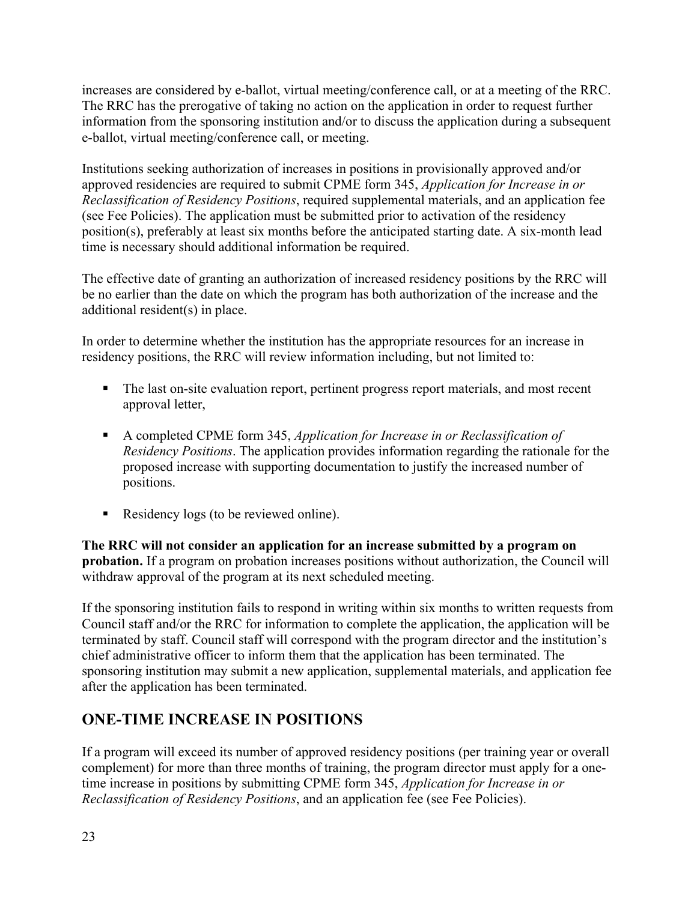increases are considered by e-ballot, virtual meeting/conference call, or at a meeting of the RRC. The RRC has the prerogative of taking no action on the application in order to request further information from the sponsoring institution and/or to discuss the application during a subsequent e-ballot, virtual meeting/conference call, or meeting.

Institutions seeking authorization of increases in positions in provisionally approved and/or approved residencies are required to submit CPME form 345, *Application for Increase in or Reclassification of Residency Positions*, required supplemental materials, and an application fee (see Fee Policies). The application must be submitted prior to activation of the residency position(s), preferably at least six months before the anticipated starting date. A six-month lead time is necessary should additional information be required.

The effective date of granting an authorization of increased residency positions by the RRC will be no earlier than the date on which the program has both authorization of the increase and the additional resident(s) in place.

In order to determine whether the institution has the appropriate resources for an increase in residency positions, the RRC will review information including, but not limited to:

- The last on-site evaluation report, pertinent progress report materials, and most recent approval letter,
- A completed CPME form 345, *Application for Increase in or Reclassification of Residency Positions*. The application provides information regarding the rationale for the proposed increase with supporting documentation to justify the increased number of positions.
- Residency logs (to be reviewed online).

**The RRC will not consider an application for an increase submitted by a program on probation.** If a program on probation increases positions without authorization, the Council will withdraw approval of the program at its next scheduled meeting.

If the sponsoring institution fails to respond in writing within six months to written requests from Council staff and/or the RRC for information to complete the application, the application will be terminated by staff. Council staff will correspond with the program director and the institution's chief administrative officer to inform them that the application has been terminated. The sponsoring institution may submit a new application, supplemental materials, and application fee after the application has been terminated.

### **ONE-TIME INCREASE IN POSITIONS**

If a program will exceed its number of approved residency positions (per training year or overall complement) for more than three months of training, the program director must apply for a onetime increase in positions by submitting CPME form 345, *Application for Increase in or Reclassification of Residency Positions*, and an application fee (see Fee Policies).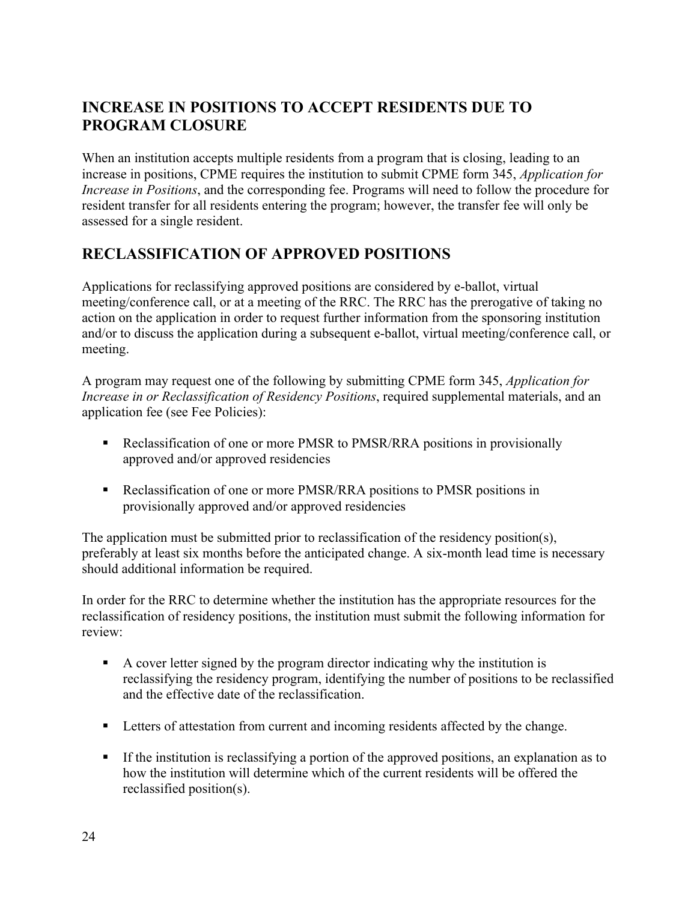### **INCREASE IN POSITIONS TO ACCEPT RESIDENTS DUE TO PROGRAM CLOSURE**

When an institution accepts multiple residents from a program that is closing, leading to an increase in positions, CPME requires the institution to submit CPME form 345, *Application for Increase in Positions*, and the corresponding fee. Programs will need to follow the procedure for resident transfer for all residents entering the program; however, the transfer fee will only be assessed for a single resident.

### **RECLASSIFICATION OF APPROVED POSITIONS**

Applications for reclassifying approved positions are considered by e-ballot, virtual meeting/conference call, or at a meeting of the RRC. The RRC has the prerogative of taking no action on the application in order to request further information from the sponsoring institution and/or to discuss the application during a subsequent e-ballot, virtual meeting/conference call, or meeting.

A program may request one of the following by submitting CPME form 345, *Application for Increase in or Reclassification of Residency Positions*, required supplemental materials, and an application fee (see Fee Policies):

- Reclassification of one or more PMSR to PMSR/RRA positions in provisionally approved and/or approved residencies
- Reclassification of one or more PMSR/RRA positions to PMSR positions in provisionally approved and/or approved residencies

The application must be submitted prior to reclassification of the residency position(s), preferably at least six months before the anticipated change. A six-month lead time is necessary should additional information be required.

In order for the RRC to determine whether the institution has the appropriate resources for the reclassification of residency positions, the institution must submit the following information for review:

- A cover letter signed by the program director indicating why the institution is reclassifying the residency program, identifying the number of positions to be reclassified and the effective date of the reclassification.
- **EXECUTE:** Letters of attestation from current and incoming residents affected by the change.
- If the institution is reclassifying a portion of the approved positions, an explanation as to how the institution will determine which of the current residents will be offered the reclassified position(s).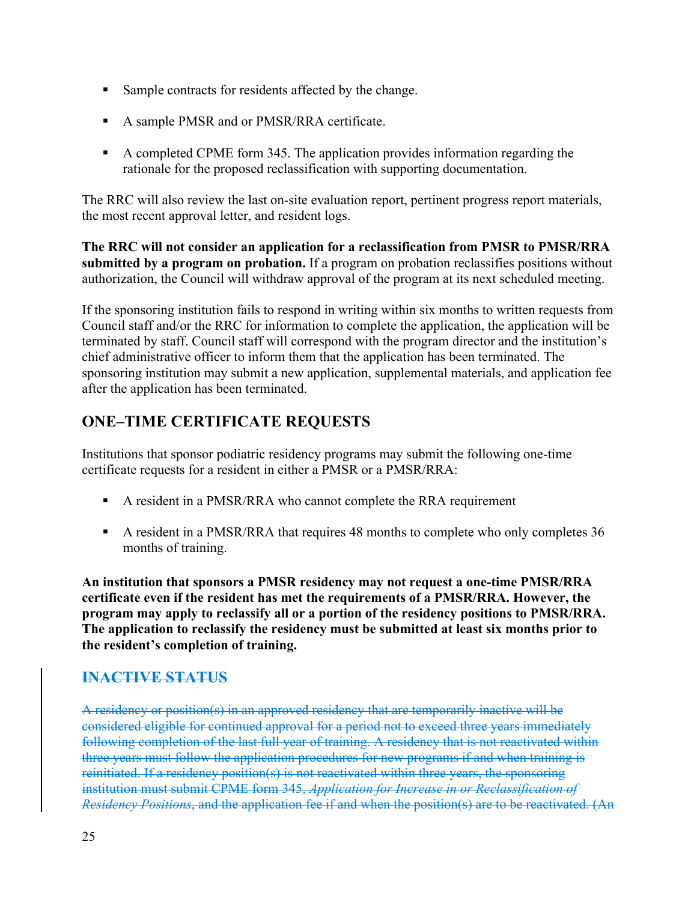- Sample contracts for residents affected by the change.
- A sample PMSR and or PMSR/RRA certificate.
- A completed CPME form 345. The application provides information regarding the rationale for the proposed reclassification with supporting documentation.

The RRC will also review the last on-site evaluation report, pertinent progress report materials, the most recent approval letter, and resident logs.

**The RRC will not consider an application for a reclassification from PMSR to PMSR/RRA submitted by a program on probation.** If a program on probation reclassifies positions without authorization, the Council will withdraw approval of the program at its next scheduled meeting.

If the sponsoring institution fails to respond in writing within six months to written requests from Council staff and/or the RRC for information to complete the application, the application will be terminated by staff. Council staff will correspond with the program director and the institution's chief administrative officer to inform them that the application has been terminated. The sponsoring institution may submit a new application, supplemental materials, and application fee after the application has been terminated.

# **ONE–TIME CERTIFICATE REQUESTS**

Institutions that sponsor podiatric residency programs may submit the following one-time certificate requests for a resident in either a PMSR or a PMSR/RRA:

- A resident in a PMSR/RRA who cannot complete the RRA requirement
- A resident in a PMSR/RRA that requires 48 months to complete who only completes 36 months of training.

**An institution that sponsors a PMSR residency may not request a one-time PMSR/RRA certificate even if the resident has met the requirements of a PMSR/RRA. However, the program may apply to reclassify all or a portion of the residency positions to PMSR/RRA. The application to reclassify the residency must be submitted at least six months prior to the resident's completion of training.** 

### **INACTIVE STATUS**

A residency or position(s) in an approved residency that are temporarily inactive will be considered eligible for continued approval for a period not to exceed three years immediately following completion of the last full year of training. A residency that is not reactivated within three years must follow the application procedures for new programs if and when training is reinitiated. If a residency position(s) is not reactivated within three years, the sponsoring institution must submit CPME form 345, *Application for Increase in or Reclassification of Residency Positions*, and the application fee if and when the position(s) are to be reactivated. (An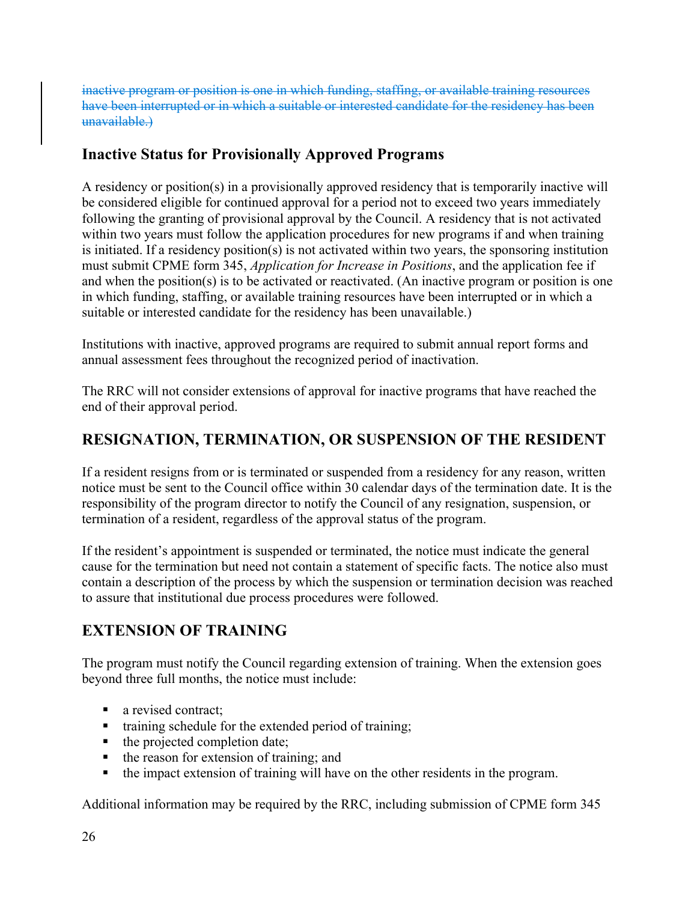inactive program or position is one in which funding, staffing, or available training resources have been interrupted or in which a suitable or interested candidate for the residency has been unavailable.)

### **Inactive Status for Provisionally Approved Programs**

A residency or position(s) in a provisionally approved residency that is temporarily inactive will be considered eligible for continued approval for a period not to exceed two years immediately following the granting of provisional approval by the Council. A residency that is not activated within two years must follow the application procedures for new programs if and when training is initiated. If a residency position(s) is not activated within two years, the sponsoring institution must submit CPME form 345, *Application for Increase in Positions*, and the application fee if and when the position(s) is to be activated or reactivated. (An inactive program or position is one in which funding, staffing, or available training resources have been interrupted or in which a suitable or interested candidate for the residency has been unavailable.)

Institutions with inactive, approved programs are required to submit annual report forms and annual assessment fees throughout the recognized period of inactivation.

The RRC will not consider extensions of approval for inactive programs that have reached the end of their approval period.

### **RESIGNATION, TERMINATION, OR SUSPENSION OF THE RESIDENT**

If a resident resigns from or is terminated or suspended from a residency for any reason, written notice must be sent to the Council office within 30 calendar days of the termination date. It is the responsibility of the program director to notify the Council of any resignation, suspension, or termination of a resident, regardless of the approval status of the program.

If the resident's appointment is suspended or terminated, the notice must indicate the general cause for the termination but need not contain a statement of specific facts. The notice also must contain a description of the process by which the suspension or termination decision was reached to assure that institutional due process procedures were followed.

### **EXTENSION OF TRAINING**

The program must notify the Council regarding extension of training. When the extension goes beyond three full months, the notice must include:

- a revised contract;
- training schedule for the extended period of training;
- $\blacksquare$  the projected completion date;
- $\blacksquare$  the reason for extension of training; and
- the impact extension of training will have on the other residents in the program.

Additional information may be required by the RRC, including submission of CPME form 345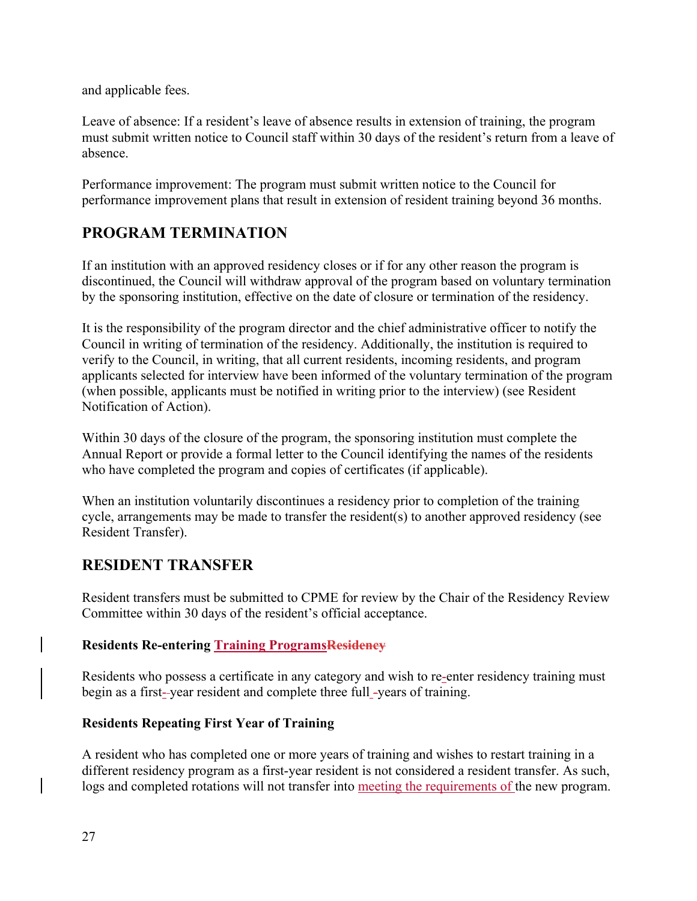and applicable fees.

Leave of absence: If a resident's leave of absence results in extension of training, the program must submit written notice to Council staff within 30 days of the resident's return from a leave of absence.

Performance improvement: The program must submit written notice to the Council for performance improvement plans that result in extension of resident training beyond 36 months.

### **PROGRAM TERMINATION**

If an institution with an approved residency closes or if for any other reason the program is discontinued, the Council will withdraw approval of the program based on voluntary termination by the sponsoring institution, effective on the date of closure or termination of the residency.

It is the responsibility of the program director and the chief administrative officer to notify the Council in writing of termination of the residency. Additionally, the institution is required to verify to the Council, in writing, that all current residents, incoming residents, and program applicants selected for interview have been informed of the voluntary termination of the program (when possible, applicants must be notified in writing prior to the interview) (see Resident Notification of Action).

Within 30 days of the closure of the program, the sponsoring institution must complete the Annual Report or provide a formal letter to the Council identifying the names of the residents who have completed the program and copies of certificates (if applicable).

When an institution voluntarily discontinues a residency prior to completion of the training cycle, arrangements may be made to transfer the resident(s) to another approved residency (see Resident Transfer).

### **RESIDENT TRANSFER**

Resident transfers must be submitted to CPME for review by the Chair of the Residency Review Committee within 30 days of the resident's official acceptance.

#### **Residents Re-entering Training ProgramsResidency**

Residents who possess a certificate in any category and wish to re-enter residency training must begin as a first- year resident and complete three full -years of training.

#### **Residents Repeating First Year of Training**

A resident who has completed one or more years of training and wishes to restart training in a different residency program as a first-year resident is not considered a resident transfer. As such, logs and completed rotations will not transfer into meeting the requirements of the new program.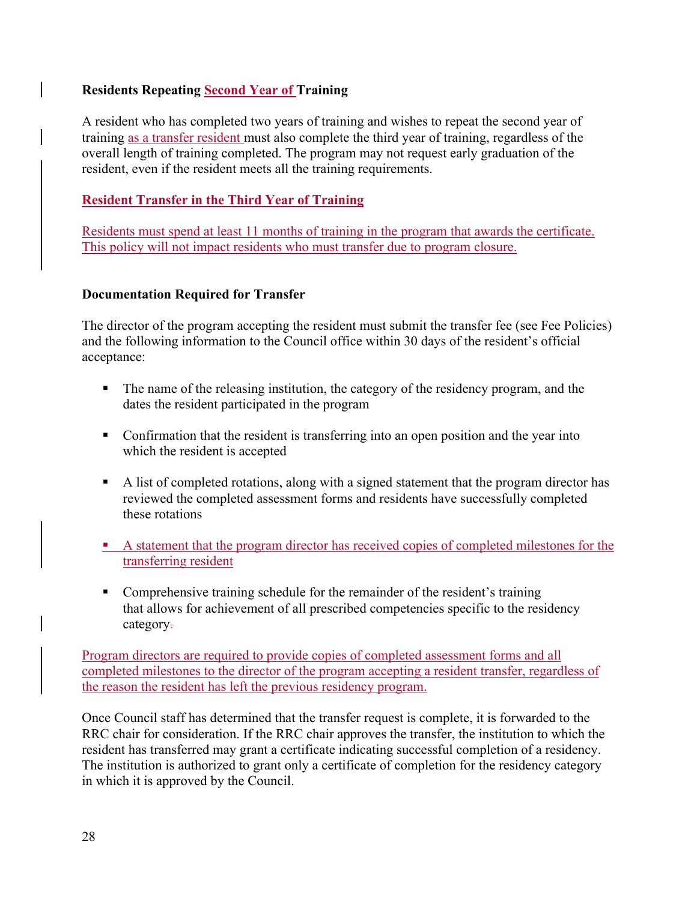#### **Residents Repeating Second Year of Training**

A resident who has completed two years of training and wishes to repeat the second year of training as a transfer resident must also complete the third year of training, regardless of the overall length of training completed. The program may not request early graduation of the resident, even if the resident meets all the training requirements.

#### **Resident Transfer in the Third Year of Training**

Residents must spend at least 11 months of training in the program that awards the certificate. This policy will not impact residents who must transfer due to program closure.

#### **Documentation Required for Transfer**

The director of the program accepting the resident must submit the transfer fee (see Fee Policies) and the following information to the Council office within 30 days of the resident's official acceptance:

- The name of the releasing institution, the category of the residency program, and the dates the resident participated in the program
- Confirmation that the resident is transferring into an open position and the year into which the resident is accepted
- A list of completed rotations, along with a signed statement that the program director has reviewed the completed assessment forms and residents have successfully completed these rotations
- A statement that the program director has received copies of completed milestones for the transferring resident
- Comprehensive training schedule for the remainder of the resident's training that allows for achievement of all prescribed competencies specific to the residency category.

Program directors are required to provide copies of completed assessment forms and all completed milestones to the director of the program accepting a resident transfer, regardless of the reason the resident has left the previous residency program.

Once Council staff has determined that the transfer request is complete, it is forwarded to the RRC chair for consideration. If the RRC chair approves the transfer, the institution to which the resident has transferred may grant a certificate indicating successful completion of a residency. The institution is authorized to grant only a certificate of completion for the residency category in which it is approved by the Council.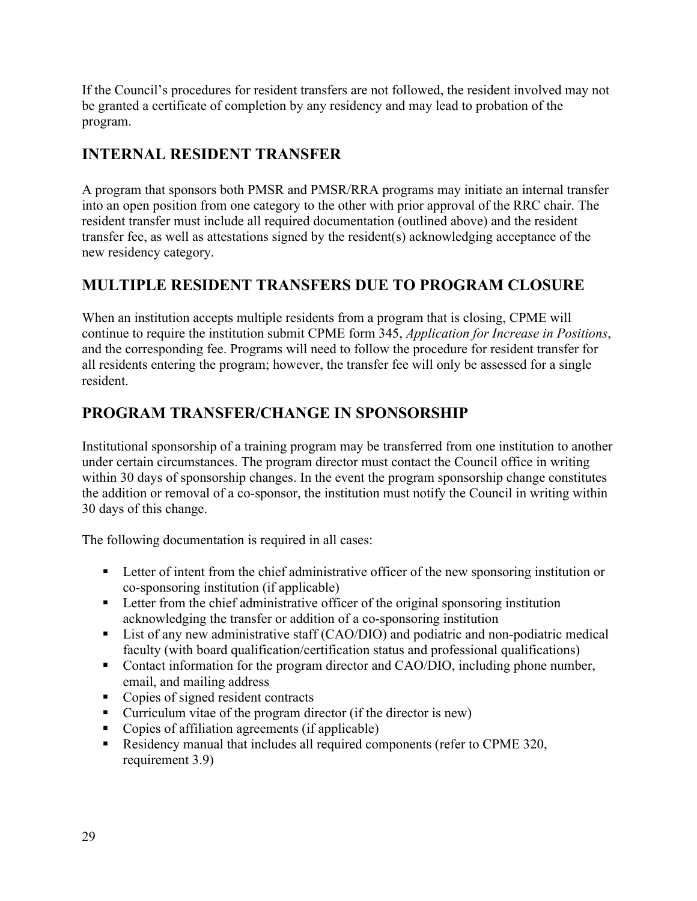If the Council's procedures for resident transfers are not followed, the resident involved may not be granted a certificate of completion by any residency and may lead to probation of the program.

### **INTERNAL RESIDENT TRANSFER**

A program that sponsors both PMSR and PMSR/RRA programs may initiate an internal transfer into an open position from one category to the other with prior approval of the RRC chair. The resident transfer must include all required documentation (outlined above) and the resident transfer fee, as well as attestations signed by the resident(s) acknowledging acceptance of the new residency category.

### **MULTIPLE RESIDENT TRANSFERS DUE TO PROGRAM CLOSURE**

When an institution accepts multiple residents from a program that is closing, CPME will continue to require the institution submit CPME form 345, *Application for Increase in Positions*, and the corresponding fee. Programs will need to follow the procedure for resident transfer for all residents entering the program; however, the transfer fee will only be assessed for a single resident.

### **PROGRAM TRANSFER/CHANGE IN SPONSORSHIP**

Institutional sponsorship of a training program may be transferred from one institution to another under certain circumstances. The program director must contact the Council office in writing within 30 days of sponsorship changes. In the event the program sponsorship change constitutes the addition or removal of a co-sponsor, the institution must notify the Council in writing within 30 days of this change.

The following documentation is required in all cases:

- **EXECUTE:** Letter of intent from the chief administrative officer of the new sponsoring institution or co-sponsoring institution (if applicable)
- **EXECUTE:** Letter from the chief administrative officer of the original sponsoring institution acknowledging the transfer or addition of a co-sponsoring institution
- List of any new administrative staff (CAO/DIO) and podiatric and non-podiatric medical faculty (with board qualification/certification status and professional qualifications)
- Contact information for the program director and CAO/DIO, including phone number, email, and mailing address
- Copies of signed resident contracts
- Curriculum vitae of the program director (if the director is new)
- Copies of affiliation agreements (if applicable)
- Residency manual that includes all required components (refer to CPME 320, requirement 3.9)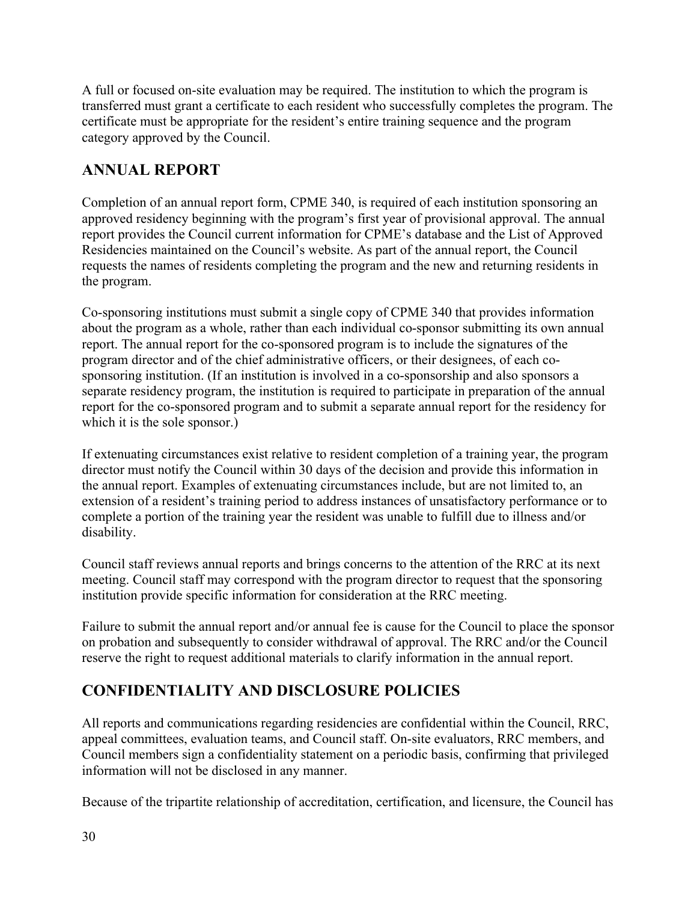A full or focused on-site evaluation may be required. The institution to which the program is transferred must grant a certificate to each resident who successfully completes the program. The certificate must be appropriate for the resident's entire training sequence and the program category approved by the Council.

### **ANNUAL REPORT**

Completion of an annual report form, CPME 340, is required of each institution sponsoring an approved residency beginning with the program's first year of provisional approval. The annual report provides the Council current information for CPME's database and the List of Approved Residencies maintained on the Council's website. As part of the annual report, the Council requests the names of residents completing the program and the new and returning residents in the program.

Co-sponsoring institutions must submit a single copy of CPME 340 that provides information about the program as a whole, rather than each individual co-sponsor submitting its own annual report. The annual report for the co-sponsored program is to include the signatures of the program director and of the chief administrative officers, or their designees, of each cosponsoring institution. (If an institution is involved in a co-sponsorship and also sponsors a separate residency program, the institution is required to participate in preparation of the annual report for the co-sponsored program and to submit a separate annual report for the residency for which it is the sole sponsor.)

If extenuating circumstances exist relative to resident completion of a training year, the program director must notify the Council within 30 days of the decision and provide this information in the annual report. Examples of extenuating circumstances include, but are not limited to, an extension of a resident's training period to address instances of unsatisfactory performance or to complete a portion of the training year the resident was unable to fulfill due to illness and/or disability.

Council staff reviews annual reports and brings concerns to the attention of the RRC at its next meeting. Council staff may correspond with the program director to request that the sponsoring institution provide specific information for consideration at the RRC meeting.

Failure to submit the annual report and/or annual fee is cause for the Council to place the sponsor on probation and subsequently to consider withdrawal of approval. The RRC and/or the Council reserve the right to request additional materials to clarify information in the annual report.

# **CONFIDENTIALITY AND DISCLOSURE POLICIES**

All reports and communications regarding residencies are confidential within the Council, RRC, appeal committees, evaluation teams, and Council staff. On-site evaluators, RRC members, and Council members sign a confidentiality statement on a periodic basis, confirming that privileged information will not be disclosed in any manner.

Because of the tripartite relationship of accreditation, certification, and licensure, the Council has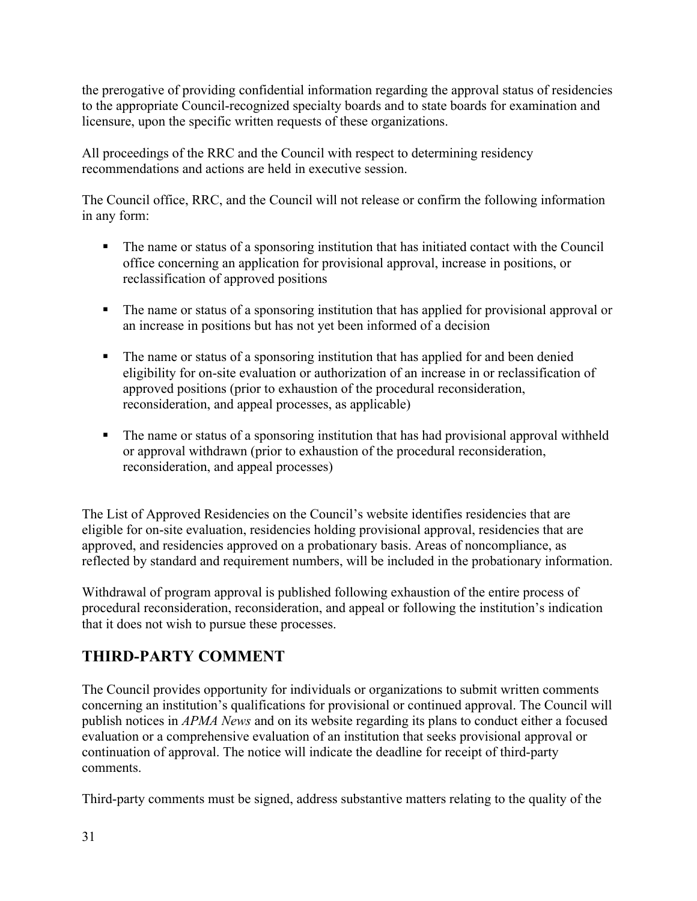the prerogative of providing confidential information regarding the approval status of residencies to the appropriate Council-recognized specialty boards and to state boards for examination and licensure, upon the specific written requests of these organizations.

All proceedings of the RRC and the Council with respect to determining residency recommendations and actions are held in executive session.

The Council office, RRC, and the Council will not release or confirm the following information in any form:

- The name or status of a sponsoring institution that has initiated contact with the Council office concerning an application for provisional approval, increase in positions, or reclassification of approved positions
- The name or status of a sponsoring institution that has applied for provisional approval or an increase in positions but has not yet been informed of a decision
- The name or status of a sponsoring institution that has applied for and been denied eligibility for on-site evaluation or authorization of an increase in or reclassification of approved positions (prior to exhaustion of the procedural reconsideration, reconsideration, and appeal processes, as applicable)
- The name or status of a sponsoring institution that has had provisional approval withheld or approval withdrawn (prior to exhaustion of the procedural reconsideration, reconsideration, and appeal processes)

The List of Approved Residencies on the Council's website identifies residencies that are eligible for on-site evaluation, residencies holding provisional approval, residencies that are approved, and residencies approved on a probationary basis. Areas of noncompliance, as reflected by standard and requirement numbers, will be included in the probationary information.

Withdrawal of program approval is published following exhaustion of the entire process of procedural reconsideration, reconsideration, and appeal or following the institution's indication that it does not wish to pursue these processes.

# **THIRD-PARTY COMMENT**

The Council provides opportunity for individuals or organizations to submit written comments concerning an institution's qualifications for provisional or continued approval. The Council will publish notices in *APMA News* and on its website regarding its plans to conduct either a focused evaluation or a comprehensive evaluation of an institution that seeks provisional approval or continuation of approval. The notice will indicate the deadline for receipt of third-party comments.

Third-party comments must be signed, address substantive matters relating to the quality of the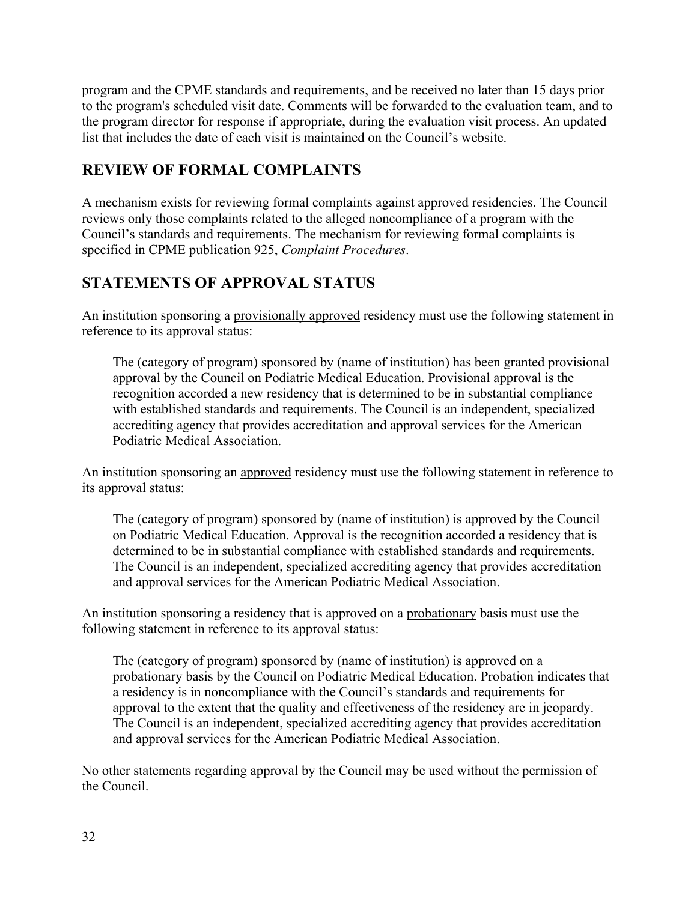program and the CPME standards and requirements, and be received no later than 15 days prior to the program's scheduled visit date. Comments will be forwarded to the evaluation team, and to the program director for response if appropriate, during the evaluation visit process. An updated list that includes the date of each visit is maintained on the Council's website.

### **REVIEW OF FORMAL COMPLAINTS**

A mechanism exists for reviewing formal complaints against approved residencies. The Council reviews only those complaints related to the alleged noncompliance of a program with the Council's standards and requirements. The mechanism for reviewing formal complaints is specified in CPME publication 925, *Complaint Procedures*.

### **STATEMENTS OF APPROVAL STATUS**

An institution sponsoring a provisionally approved residency must use the following statement in reference to its approval status:

The (category of program) sponsored by (name of institution) has been granted provisional approval by the Council on Podiatric Medical Education. Provisional approval is the recognition accorded a new residency that is determined to be in substantial compliance with established standards and requirements. The Council is an independent, specialized accrediting agency that provides accreditation and approval services for the American Podiatric Medical Association.

An institution sponsoring an approved residency must use the following statement in reference to its approval status:

The (category of program) sponsored by (name of institution) is approved by the Council on Podiatric Medical Education. Approval is the recognition accorded a residency that is determined to be in substantial compliance with established standards and requirements. The Council is an independent, specialized accrediting agency that provides accreditation and approval services for the American Podiatric Medical Association.

An institution sponsoring a residency that is approved on a probationary basis must use the following statement in reference to its approval status:

The (category of program) sponsored by (name of institution) is approved on a probationary basis by the Council on Podiatric Medical Education. Probation indicates that a residency is in noncompliance with the Council's standards and requirements for approval to the extent that the quality and effectiveness of the residency are in jeopardy. The Council is an independent, specialized accrediting agency that provides accreditation and approval services for the American Podiatric Medical Association.

No other statements regarding approval by the Council may be used without the permission of the Council.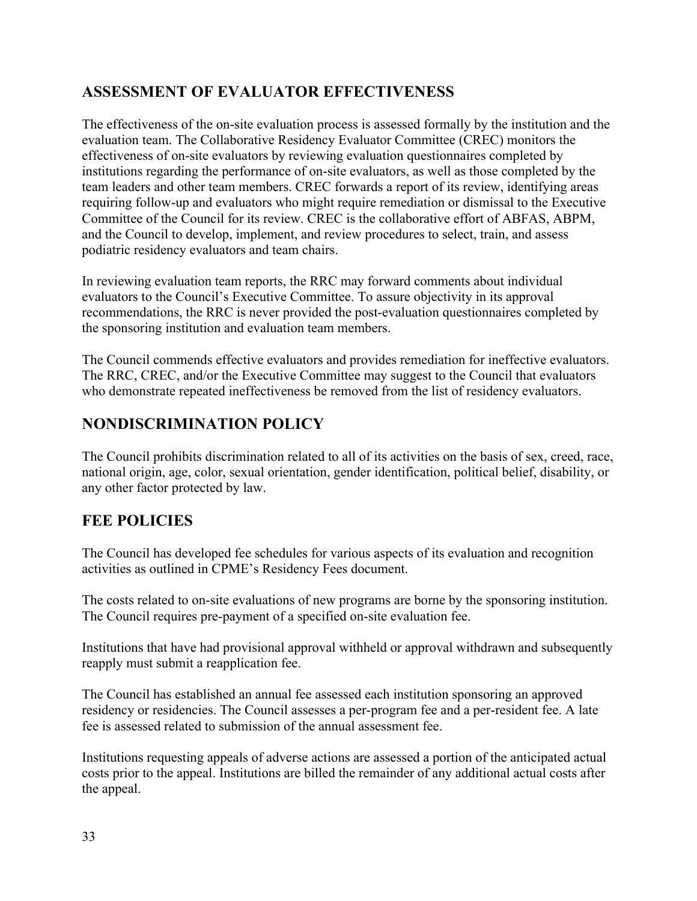### **ASSESSMENT OF EVALUATOR EFFECTIVENESS**

The effectiveness of the on-site evaluation process is assessed formally by the institution and the evaluation team. The Collaborative Residency Evaluator Committee (CREC) monitors the effectiveness of on-site evaluators by reviewing evaluation questionnaires completed by institutions regarding the performance of on-site evaluators, as well as those completed by the team leaders and other team members. CREC forwards a report of its review, identifying areas requiring follow-up and evaluators who might require remediation or dismissal to the Executive Committee of the Council for its review. CREC is the collaborative effort of ABFAS, ABPM, and the Council to develop, implement, and review procedures to select, train, and assess podiatric residency evaluators and team chairs.

In reviewing evaluation team reports, the RRC may forward comments about individual evaluators to the Council's Executive Committee. To assure objectivity in its approval recommendations, the RRC is never provided the post-evaluation questionnaires completed by the sponsoring institution and evaluation team members.

The Council commends effective evaluators and provides remediation for ineffective evaluators. The RRC, CREC, and/or the Executive Committee may suggest to the Council that evaluators who demonstrate repeated ineffectiveness be removed from the list of residency evaluators.

# **NONDISCRIMINATION POLICY**

The Council prohibits discrimination related to all of its activities on the basis of sex, creed, race, national origin, age, color, sexual orientation, gender identification, political belief, disability, or any other factor protected by law.

# **FEE POLICIES**

The Council has developed fee schedules for various aspects of its evaluation and recognition activities as outlined in CPME's Residency Fees document.

The costs related to on-site evaluations of new programs are borne by the sponsoring institution. The Council requires pre-payment of a specified on-site evaluation fee.

Institutions that have had provisional approval withheld or approval withdrawn and subsequently reapply must submit a reapplication fee.

The Council has established an annual fee assessed each institution sponsoring an approved residency or residencies. The Council assesses a per-program fee and a per-resident fee. A late fee is assessed related to submission of the annual assessment fee.

Institutions requesting appeals of adverse actions are assessed a portion of the anticipated actual costs prior to the appeal. Institutions are billed the remainder of any additional actual costs after the appeal.